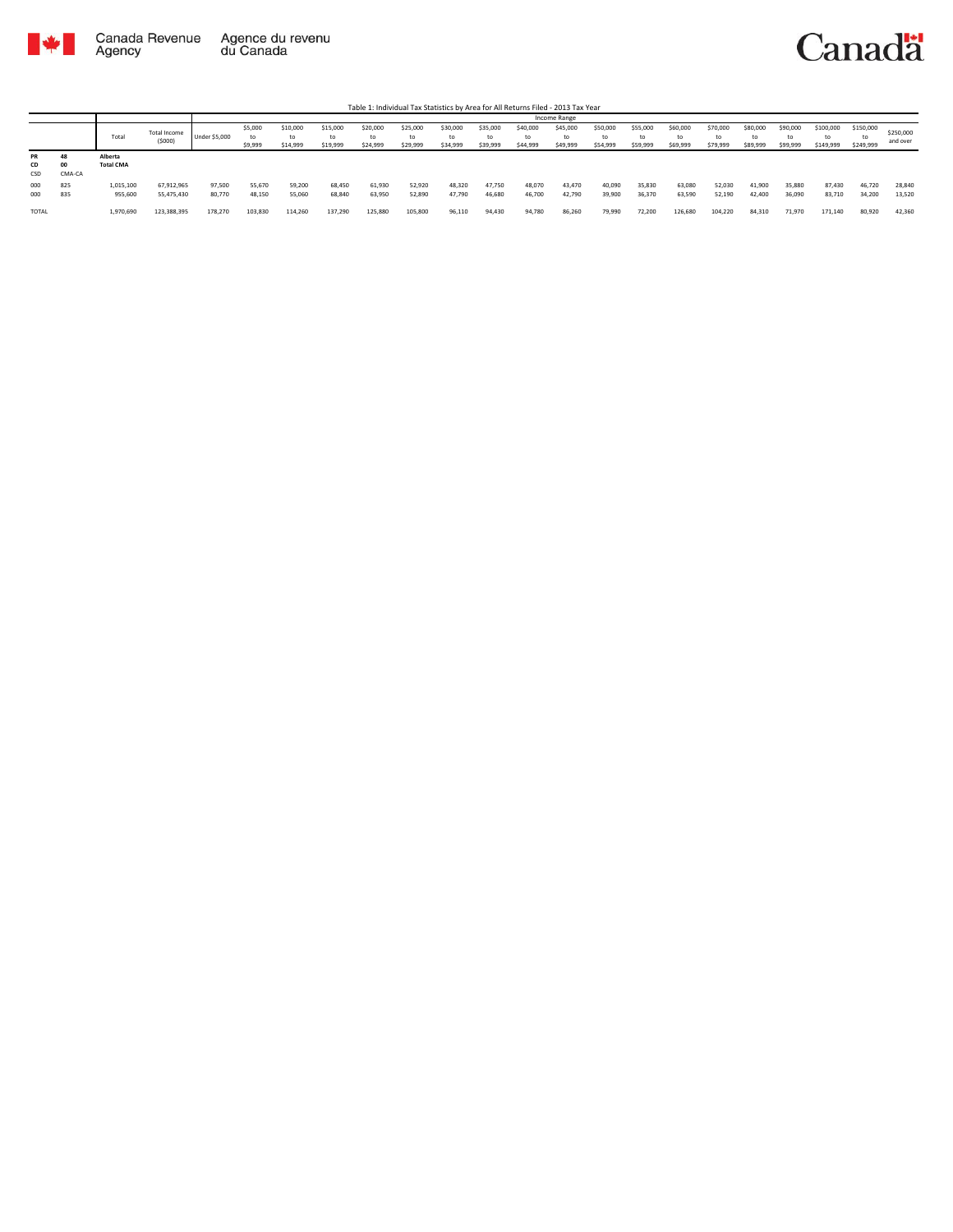

Table 1: Individual Tax Statistics by Area for All Returns Filed - 2013 Tax Year

|                        |            |                             |                          |                      |                          |                            |                      |                            |                            |                      |                            |                            | Income Range               |                            |                            |                            |                            |                            |                            |                        |                              |                       |
|------------------------|------------|-----------------------------|--------------------------|----------------------|--------------------------|----------------------------|----------------------|----------------------------|----------------------------|----------------------|----------------------------|----------------------------|----------------------------|----------------------------|----------------------------|----------------------------|----------------------------|----------------------------|----------------------------|------------------------|------------------------------|-----------------------|
|                        |            | Total                       | Total Income<br>(5000)   | <b>Under \$5,000</b> | \$5,000<br>to<br>\$9,999 | \$10,000<br>to<br>\$14,999 | \$15,000<br>\$19,999 | \$20,000<br>to<br>\$24.999 | \$25,000<br>to<br>\$29,999 | \$30,000<br>\$34,999 | \$35,000<br>to<br>\$39,999 | \$40,000<br>to<br>\$44,999 | \$45,000<br>to<br>\$49,999 | \$50,000<br>to<br>\$54,999 | \$55,000<br>to<br>\$59,999 | \$60,000<br>to<br>\$69,999 | \$70,000<br>to<br>\$79,999 | \$80,000<br>to<br>\$89,999 | \$90,000<br>to<br>\$99,999 | \$100,000<br>\$149,999 | \$150,000<br>to<br>\$249,999 | \$250,000<br>and over |
| <b>PR</b><br>CD<br>CSD | CMA-CA     | Alberta<br><b>Total CMA</b> |                          |                      |                          |                            |                      |                            |                            |                      |                            |                            |                            |                            |                            |                            |                            |                            |                            |                        |                              |                       |
| 000<br>000             | 825<br>835 | 1,015,100<br>955,600        | 67,912,965<br>55,475,430 | 97,500<br>80,770     | 55,670<br>48,150         | 59,200<br>55,060           | 68,450<br>68,840     | 61,930<br>63,950           | 52,920<br>52,890           | 48,320<br>47,790     | 47.750<br>46,680           | 48,070<br>46,700           | 43,470<br>42,790           | 40,090<br>39,900           | 35,830<br>36,370           | 63,080<br>63,590           | 52,030<br>52,190           | 41,900<br>42.400           | 35,880<br>36,090           | 87.430<br>83,710       | 46,720<br>34,200             | 28,840<br>13,520      |
| <b>TOTAL</b>           |            | 1,970,690                   | 123.388.395              | 178.270              | 103.830                  | 114,260                    | 137,290              | 125,880                    | 105,800                    | 96,110               | 94,430                     | 94,780                     | 86,260                     | 79.990                     | 72,200                     | 126,680                    | 104,220                    | 84.310                     | 71.970                     | 171.140                | 80,920                       | 42,360                |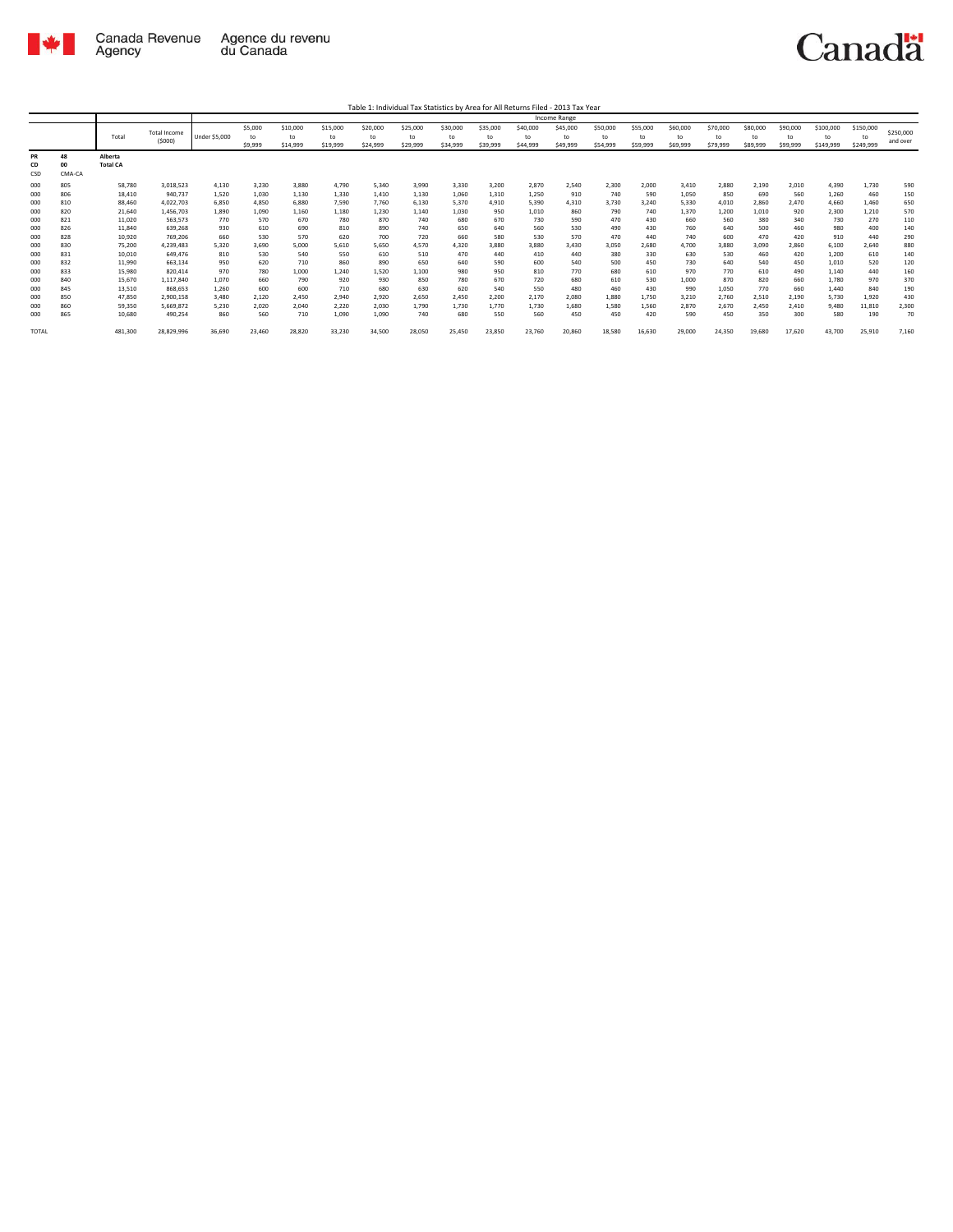

Table 1: Individual Tax Statistics by Area for All Returns Filed - 2013 Tax Year

|                 |                    |                            |                               |                      |                          |                            |                            |                            |                            |                            |                            |                            | <b>Income Range</b>        |                            |                            |                            |                            |                            |                            |                              |                              |                       |
|-----------------|--------------------|----------------------------|-------------------------------|----------------------|--------------------------|----------------------------|----------------------------|----------------------------|----------------------------|----------------------------|----------------------------|----------------------------|----------------------------|----------------------------|----------------------------|----------------------------|----------------------------|----------------------------|----------------------------|------------------------------|------------------------------|-----------------------|
|                 |                    | Total                      | <b>Total Income</b><br>(5000) | <b>Under \$5,000</b> | \$5,000<br>to<br>\$9,999 | \$10,000<br>to<br>\$14,999 | \$15,000<br>to<br>\$19,999 | \$20,000<br>to<br>\$24,999 | \$25,000<br>to<br>\$29,999 | \$30,000<br>to<br>\$34,999 | \$35,000<br>to<br>\$39,999 | \$40,000<br>to<br>\$44,999 | \$45,000<br>to<br>\$49,999 | \$50,000<br>to<br>\$54,999 | \$55,000<br>to<br>\$59,999 | \$60,000<br>to<br>\$69,999 | \$70,000<br>to<br>\$79,999 | \$80,000<br>to<br>\$89,999 | \$90,000<br>to<br>\$99,999 | \$100,000<br>to<br>\$149,999 | \$150,000<br>to<br>\$249,999 | \$250,000<br>and over |
| PR<br>CD<br>CSD | 48<br>00<br>CMA-CA | Alberta<br><b>Total CA</b> |                               |                      |                          |                            |                            |                            |                            |                            |                            |                            |                            |                            |                            |                            |                            |                            |                            |                              |                              |                       |
| 000             | 805                | 58,780                     | 3,018,523                     | 4,130                | 3,230                    | 3,880                      | 4.790                      | 5,340                      | 3,990                      | 3,330                      | 3.200                      | 2,870                      | 2,540                      | 2,300                      | 2,000                      | 3,410                      | 2,880                      | 2,190                      | 2,010                      | 4,390                        | 1.730                        | 590                   |
| 000             | 806                | 18,410                     | 940,737                       | 1,520                | 1,030                    | 1,130                      | 1,330                      | 1,410                      | 1,130                      | 1,060                      | 1,310                      | 1,250                      | 910                        | 740                        | 590                        | 1,050                      | 850                        | 690                        | 560                        | 1,260                        | 460                          | 150                   |
| 000             | 810                | 88,460                     | 4,022,703                     | 6,850                | 4.850                    | 6,880                      | 7,590                      | 7,760                      | 6,130                      | 5,370                      | 4,910                      | 5,390                      | 4,310                      | 3,730                      | 3,240                      | 5,330                      | 4,010                      | 2.860                      | 2.470                      | 4,660                        | 1,460                        | 650                   |
| 000             | 820                | 21.640                     | 1,456,703                     | 1,890                | 1,090                    | 1,160                      | 1,180                      | 1,230                      | 1,140                      | 1,030                      | 950                        | 1,010                      | 860                        | 790                        | 740                        | 1,370                      | 1,200                      | 1,010                      | 920                        | 2,300                        | 1,210                        | 570                   |
| 000             | 821                | 11.020                     | 563.573                       | 770                  | 570                      | 670                        | 780                        | 870                        | 740                        | 680                        | 670                        | 730                        | 590                        | 470                        | 430                        | 660                        | 560                        | 380                        | 340                        | 730                          | 270                          | 110                   |
| 000             | 826                | 11,840                     | 639,268                       | 930                  | 610                      | 690                        | 810                        | 890                        | 740                        | 650                        | 640                        | 560                        | 530                        | 490                        | 430                        | 760                        | 640                        | 500                        | 460                        | 980                          | 400                          | 140                   |
| 000             | 828                | 10,920                     | 769,206                       | 660                  | 530                      | 570                        | 620                        | 700                        | 720                        | 660                        | 580                        | 530                        | 570                        | 470                        | 440                        | 740                        | 600                        | 470                        | 420                        | 910                          | 440                          | 290                   |
| 000             | 830                | 75,200                     | 4,239,483                     | 5,320                | 3,690                    | 5,000                      | 5,610                      | 5,650                      | 4,570                      | 4,320                      | 3,880                      | 3,880                      | 3,430                      | 3,050                      | 2,680                      | 4.700                      | 3,880                      | 3,090                      | 2,860                      | 6,100                        | 2,640                        | 880                   |
| 000             | 831                | 10,010                     | 649.476                       | 810                  | 530                      | 540                        | 550                        | 610                        | 510                        | 470                        | 440                        | 410                        | 440                        | 380                        | 330                        | 630                        | 530                        | 460                        | 420                        | 1,200                        | 610                          | 140                   |
| 000             | 832                | 11,990                     | 663.134                       | 950                  | 620                      | 710                        | 860                        | 890                        | 650                        | 640                        | 590                        | 600                        | 540                        | 500                        | 450                        | 730                        | 640                        | 540                        | 450                        | 1,010                        | 520                          | 120                   |
| 000             | 833                | 15,980                     | 820,414                       | 970                  | 780                      | 1,000                      | 1,240                      | 1,520                      | 1,100                      | 980                        | 950                        | 810                        | 770                        | 680                        | 610                        | 970                        | 770                        | 610                        | 490                        | 1,140                        | 440                          | 160                   |
| 000             | 840                | 15.670                     | 1,117,840                     | 1.070                | 660                      | 790                        | 920                        | 930                        | 850                        | 780                        | 670                        | 720                        | 680                        | 610                        | 530                        | 1.000                      | 870                        | 820                        | 660                        | 1,780                        | 970                          | 370                   |
| 000             | 845                | 13,510                     | 868,653                       | 1,260                | 600                      | 600                        | 710                        | 680                        | 630                        | 620                        | 540                        | 550                        | 480                        | 460                        | 430                        | 990                        | 1,050                      | 770                        | 660                        | 1,440                        | 840                          | 190                   |
| 000             | 850                | 47.850                     | 2.900.158                     | 3.480                | 2.120                    | 2.450                      | 2.940                      | 2.920                      | 2.650                      | 2.450                      | 2.200                      | 2,170                      | 2.080                      | 1.880                      | 1.750                      | 3.210                      | 2.760                      | 2.510                      | 2,190                      | 5,730                        | 1.920                        | 430                   |
| 000             | 860                | 59,350                     | 5,669,872                     | 5,230                | 2,020                    | 2,040                      | 2,220                      | 2,030                      | 1.790                      | 1,730                      | 1,770                      | 1,730                      | 1,680                      | 1,580                      | 1,560                      | 2,870                      | 2,670                      | 2,450                      | 2,410                      | 9.480                        | 11,810                       | 2,300                 |
| 000             | 865                | 10,680                     | 490,254                       | 860                  | 560                      | 710                        | 1,090                      | 1,090                      | 740                        | 680                        | 550                        | 560                        | 450                        | 450                        | 420                        | 590                        | 450                        | 350                        | 300                        | 580                          | 190                          | 70                    |
| <b>TOTAL</b>    |                    | 481,300                    | 28,829,996                    | 36,690               | 23,460                   | 28,820                     | 33,230                     | 34,500                     | 28,050                     | 25,450                     | 23,850                     | 23,760                     | 20,860                     | 18,580                     | 16,630                     | 29,000                     | 24,350                     | 19,680                     | 17,620                     | 43,700                       | 25,910                       | 7,160                 |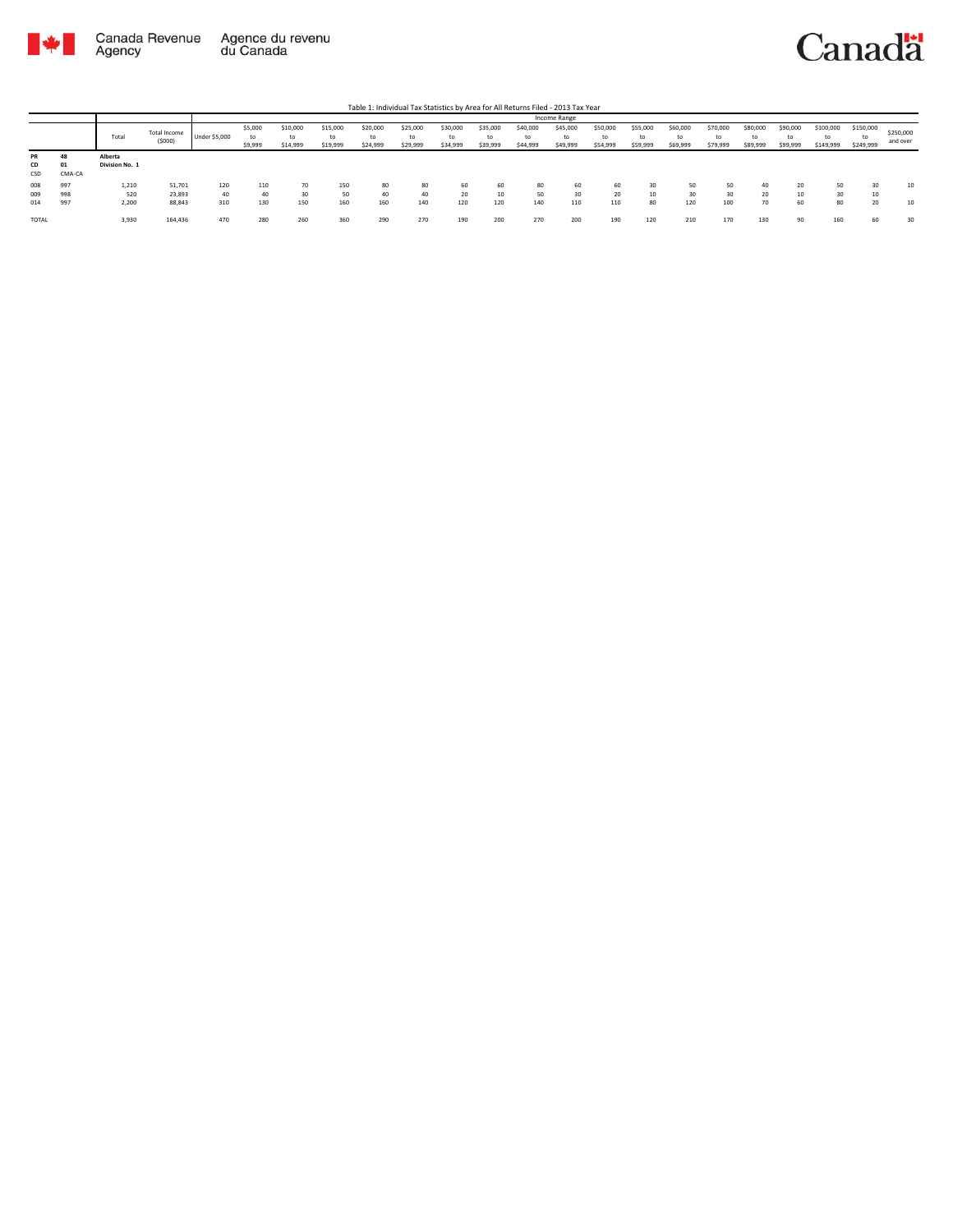

|       |        |                |                        |               |                    |                            |                            |                            |                            |                            |                            |                            | Income Range         |                            |                            |                            |                            |                            |                            |                              |                              |                       |
|-------|--------|----------------|------------------------|---------------|--------------------|----------------------------|----------------------------|----------------------------|----------------------------|----------------------------|----------------------------|----------------------------|----------------------|----------------------------|----------------------------|----------------------------|----------------------------|----------------------------|----------------------------|------------------------------|------------------------------|-----------------------|
|       |        | Total          | Total Income<br>(5000) | Under \$5,000 | \$5,000<br>\$9,999 | \$10,000<br>to<br>\$14,999 | \$15,000<br>to<br>\$19,999 | \$20,000<br>to<br>\$24,999 | \$25,000<br>to<br>\$29,999 | \$30,000<br>to<br>\$34,999 | \$35,000<br>to<br>\$39,999 | \$40,000<br>to<br>\$44,999 | \$45,000<br>\$49,999 | \$50,000<br>to<br>\$54,999 | \$55,000<br>to<br>\$59,999 | \$60,000<br>to<br>\$69,999 | \$70,000<br>to<br>\$79,999 | \$80,000<br>to<br>\$89,999 | \$90,000<br>to<br>\$99,999 | \$100,000<br>to<br>\$149,999 | \$150,000<br>to<br>\$249,999 | \$250,000<br>and over |
| PR    | 48     | Alberta        |                        |               |                    |                            |                            |                            |                            |                            |                            |                            |                      |                            |                            |                            |                            |                            |                            |                              |                              |                       |
| CD    | 01     | Division No. 1 |                        |               |                    |                            |                            |                            |                            |                            |                            |                            |                      |                            |                            |                            |                            |                            |                            |                              |                              |                       |
| CSD   | CMA-CA |                |                        |               |                    |                            |                            |                            |                            |                            |                            |                            |                      |                            |                            |                            |                            |                            |                            |                              |                              |                       |
| 008   | 997    | 1,210          | 51,701                 | 120           | 110                | 70                         | 150                        | 80                         | 80                         | 60                         | 60                         | 80                         | 60                   | 60                         | 30                         | 50                         | 50                         | 40                         | 20                         | 50                           | 30                           | 10                    |
| 009   | 998    | 520            | 23,893                 | 40            | 40                 | 30                         | 50                         | 40                         | 40                         | 20                         | 10                         | 50                         | 30                   | 20                         | 10                         | 30                         | 30                         | 20                         | w                          | 30                           | 10                           |                       |
| 014   | 997    | 2,200          | 88,843                 | 310           | 130                | 150                        | 160                        | 160                        | 140                        | 120                        | 120                        | 140                        | 110                  | 110                        | 80                         | 120                        | 100                        | 70                         | 60                         | 80                           | 20                           | 10                    |
| TOTAL |        | 3,930          | 164,436                | 470           | 280                | 260                        | 360                        | 290                        | 270                        | 190                        | 200                        | 270                        | 200                  | 190                        | 120                        | 210                        | 170                        | 130                        | 90                         | 160                          | 60                           | 30                    |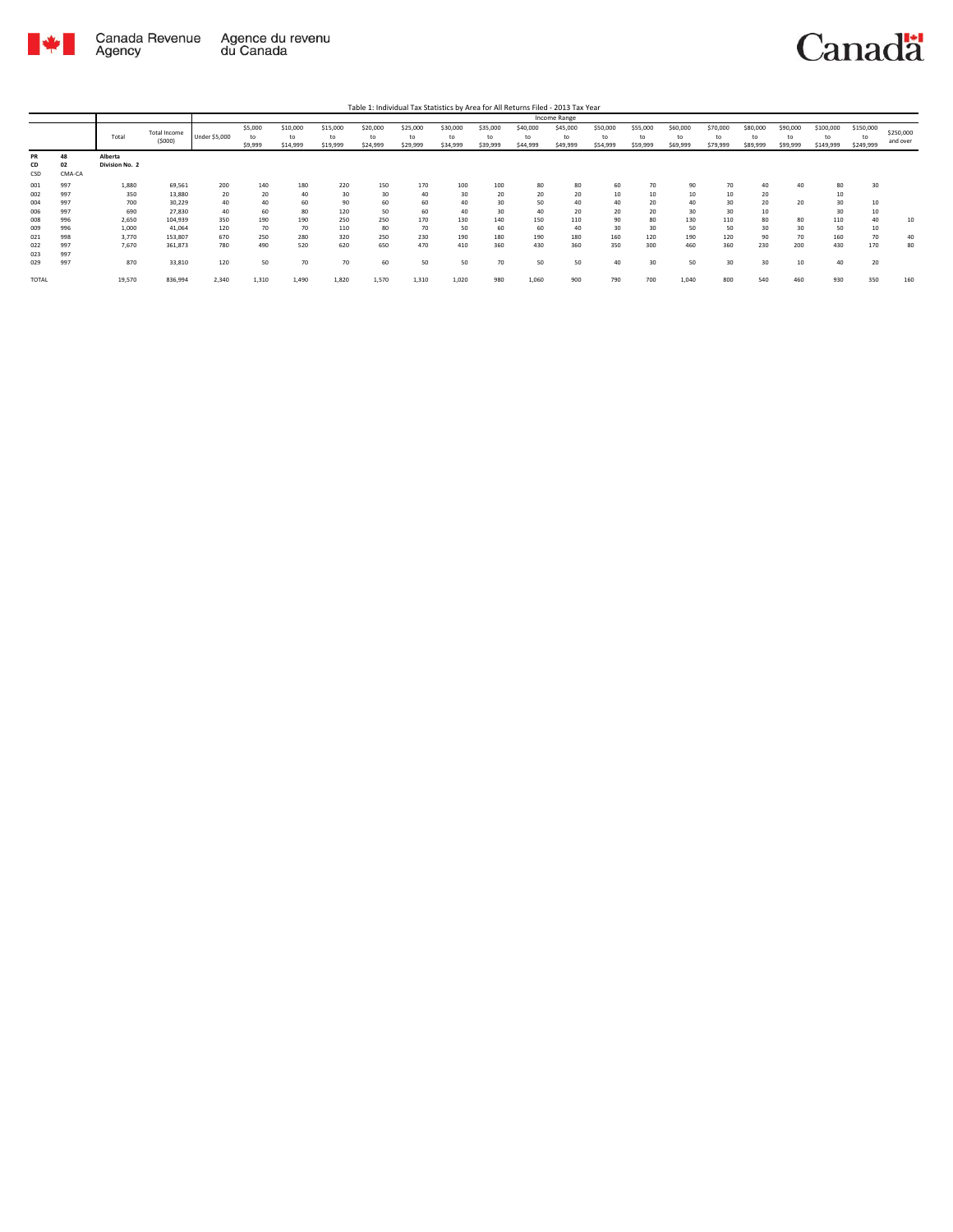

Table 1: Individual Tax Statistics by Area for All Returns Filed - 2013 Tax Year

|                 |                    |                           |                               |               |                          |                            |                            |                            |                            |                            |                            |                            | <b>Income Range</b>        |                            |                            |                            |                            |                            |                            |                              |                              |                       |
|-----------------|--------------------|---------------------------|-------------------------------|---------------|--------------------------|----------------------------|----------------------------|----------------------------|----------------------------|----------------------------|----------------------------|----------------------------|----------------------------|----------------------------|----------------------------|----------------------------|----------------------------|----------------------------|----------------------------|------------------------------|------------------------------|-----------------------|
|                 |                    | Total                     | <b>Total Income</b><br>(5000) | Under \$5,000 | \$5,000<br>to<br>\$9,999 | \$10,000<br>to<br>\$14,999 | \$15,000<br>to<br>\$19,999 | \$20,000<br>to<br>\$24,999 | \$25,000<br>to<br>\$29,999 | \$30,000<br>to<br>\$34,999 | \$35,000<br>to<br>\$39,999 | \$40,000<br>to<br>\$44,999 | \$45,000<br>to<br>\$49,999 | \$50,000<br>to<br>\$54,999 | \$55,000<br>to<br>\$59,999 | \$60,000<br>to<br>\$69,999 | \$70,000<br>to<br>\$79,999 | \$80,000<br>to<br>\$89,999 | \$90,000<br>to<br>\$99,999 | \$100,000<br>to<br>\$149,999 | \$150,000<br>to<br>\$249,999 | \$250,000<br>and over |
| PR<br>CD<br>CSD | 48<br>02<br>CMA-CA | Alberta<br>Division No. 2 |                               |               |                          |                            |                            |                            |                            |                            |                            |                            |                            |                            |                            |                            |                            |                            |                            |                              |                              |                       |
| 001             | 997<br>997         | 1,880                     | 69,561                        | 200           | 140<br>20                | 180<br>40                  | 220<br>30                  | 150<br>30                  | 170<br>40                  | 100                        | 100<br>20                  | 80<br>20                   | 80<br>20                   | 60<br>10                   | 70<br>10                   | 90<br>10                   | 70<br>10                   | 40                         | 40                         | 80                           | 30                           |                       |
| 002<br>004      | 997                | 350<br>700                | 13,880<br>30,229              | 20<br>40      | 40                       | 60                         | 90                         | 60                         | 60                         | 30<br>40                   | 30                         | 50                         | 40                         | 40                         | 20                         | 40                         | 30                         | 20<br>20                   | 20                         | 10<br>30                     | 10                           |                       |
| 006             | 997                | 690                       | 27,830                        | 40            | 60                       | 80                         | 120                        | 50                         | 60                         | 40                         | 30                         | 40                         | 20                         | 20                         | 20                         | 30                         | 30                         | 10                         |                            | 30                           | 10                           |                       |
| 008<br>009      | 996<br>996         | 2,650<br>1,000            | 104,939<br>41,064             | 350<br>120    | 190<br>70                | 190<br>70                  | 250<br>110                 | 250<br>80                  | 170<br>70                  | 130<br>50                  | 140<br>60                  | 150<br>60                  | 110<br>40                  | 90<br>30                   | 80<br>30                   | 130<br>50                  | 110<br>50                  | 80<br>30                   | 80<br>30                   | 110<br>50                    | 40<br>10                     | 10                    |
| 021             | 998<br>997         | 3,770<br>7.670            | 153,807<br>361,873            | 670           | 250<br>490               | 280<br>520                 | 320<br>620                 | 250<br>650                 | 230<br>470                 | 190                        | 180<br>360                 | 190<br>430                 | 180<br>360                 | 160<br>350                 | 120<br>300                 | 190<br>460                 | 120<br>360                 | 90<br>230                  | 70<br>200                  | 160<br>430                   | 70<br>170                    | 40<br>80              |
| 022<br>023      | 997                |                           |                               | 780           |                          |                            |                            |                            |                            | 410                        |                            |                            |                            |                            |                            |                            |                            |                            |                            |                              |                              |                       |
| 029             | 997                | 870                       | 33,810                        | 120           | 50                       | 70                         | 70                         | 60                         | 50                         | 50                         | 70                         | 50                         | 50                         | 40                         | 30                         | 50                         | 30                         | 30                         | 10                         | 40                           | 20                           |                       |
| <b>TOTAL</b>    |                    | 19,570                    | 836,994                       | 2,340         | 1.310                    | 1.490                      | 1,820                      | 1,570                      | 1,310                      | 1,020                      | 980                        | 1,060                      | 900                        | 790                        | 700                        | 1,040                      | 800                        | 540                        | 460                        | 930                          | 350                          | 160                   |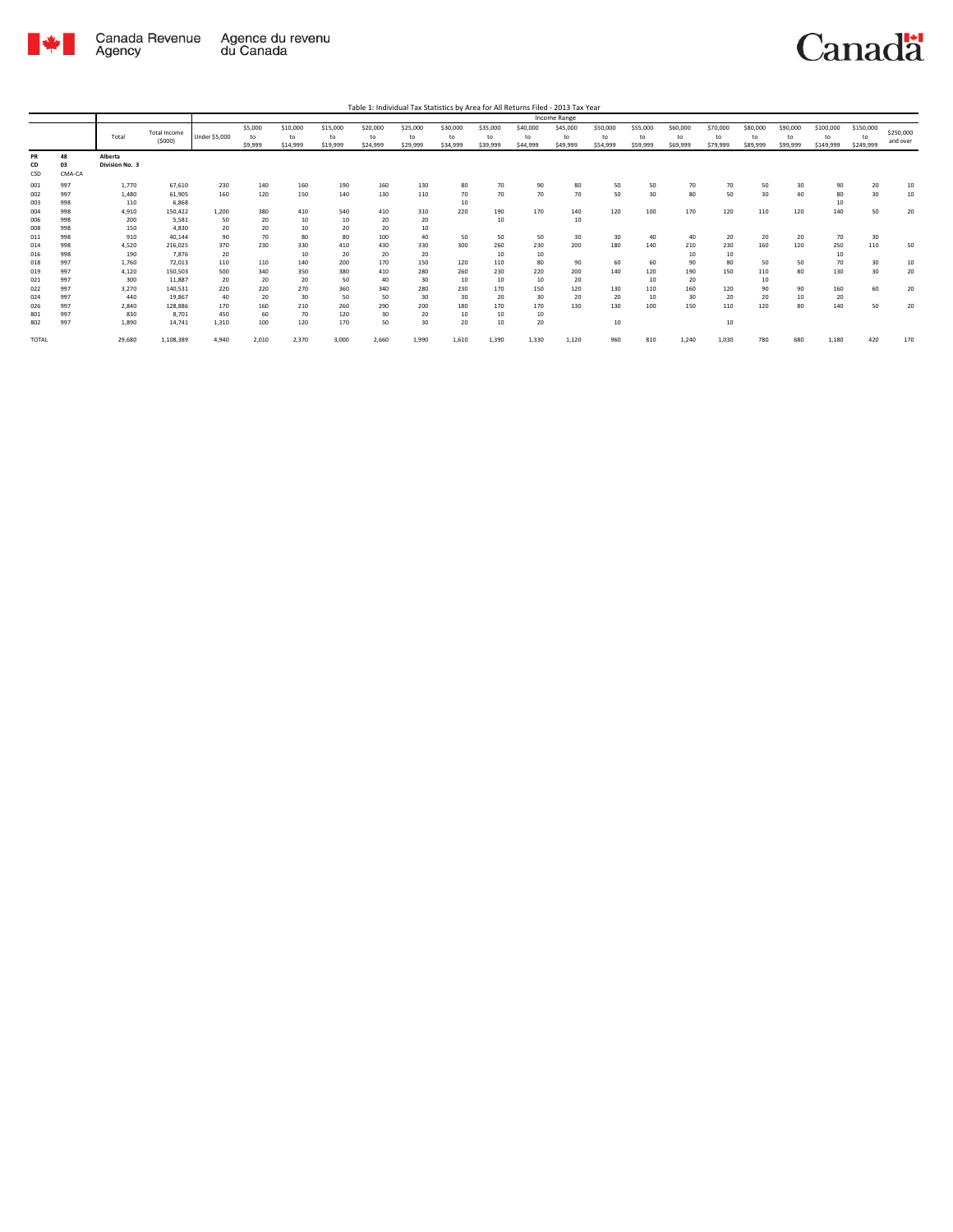

Table 1: Individual Tax Statistics by Area for All Returns Filed - 2013 Tax Year

|                 |                    |                           |                     |               |               |                |                |                |                |                |                |                | Income Range   |                |                |                |                |                |                |                 |                 |           |
|-----------------|--------------------|---------------------------|---------------------|---------------|---------------|----------------|----------------|----------------|----------------|----------------|----------------|----------------|----------------|----------------|----------------|----------------|----------------|----------------|----------------|-----------------|-----------------|-----------|
|                 |                    | Total                     | <b>Total Income</b> | Under \$5,000 | \$5,000<br>to | \$10,000<br>to | \$15,000<br>to | \$20,000<br>to | \$25,000<br>to | \$30,000<br>to | \$35,000<br>to | \$40,000<br>to | \$45,000<br>to | \$50,000<br>to | \$55,000<br>to | \$60,000<br>to | \$70,000<br>to | \$80,000<br>to | \$90,000<br>to | \$100,000<br>to | \$150,000<br>to | \$250,000 |
|                 |                    |                           | (5000)              |               | \$9,999       | \$14,999       | \$19,999       | \$24,999       | \$29,999       | \$34,999       | \$39,999       | \$44,999       | \$49,999       | \$54,999       | \$59,999       | \$69,999       | \$79,999       | \$89,999       | \$99,999       | \$149,999       | \$249,999       | and over  |
| PR<br>CD<br>CSD | 48<br>03<br>CMA-CA | Alberta<br>Division No. 3 |                     |               |               |                |                |                |                |                |                |                |                |                |                |                |                |                |                |                 |                 |           |
| 001             | 997                | 1.770                     | 67,610              | 230           | 140           | 160            | 190            | 160            | 130            | 80             | 70             | 90             | 80             | 50             | 50             | 70             | 70             | 50             | 30             | 90              | 20              | 10        |
| 002<br>003      | 997<br>998         | 1,480<br>110              | 61,905<br>6,868     | 160           | 120           | 150            | 140            | 130            | 110            | 70<br>10       | 70             | 70             | 70             | 50             | 30             | 80             | 50             | 30             | 40             | 80<br>10        | 30              | 10        |
| 004             | 998                | 4,910                     | 150,422             | 1,200         | 380           | 410            | 540            | 410            | 310            | 220            | 190            | 170            | 140            | 120            | 100            | 170            | 120            | 110            | 120            | 140             | 50              | 20        |
| 006             | 998                | 200                       | 5,581               | 50            | 20            | 10             | 10             | 20             | 20             |                | 10             |                | 10             |                |                |                |                |                |                |                 |                 |           |
| 008             | 998                | 150                       | 4.830               | 20            | 20            | 10             | 20             | 20             | 10             |                |                |                |                |                |                |                |                |                |                |                 |                 |           |
| 011             | 998                | 910                       | 40.144              | 90            | 70            | 80             | 80             | 100            | 40             | 50             | 50             | 50             | 30             | 30             | 40             | 40             | 20             | 20             | 20             | 70              | 30              |           |
| 014             | 998                | 4,520                     | 216.025             | 370           | 230           | 330            | 410            | 430            | 330            | 300            | 260            | 230            | 200            | 180            | 140            | 210            | 230            | 160            | 120            | 250             | 110             | 50        |
| 016             | 998                | 190                       | 7.876               | 20            |               | 10             | 20             | 20             | 20             |                | 10             | 10             |                |                |                | 10             | 10             |                |                | 10              |                 |           |
| 018             | 997                | 1,760                     | 72.013              | 110           | 110           | 140            | 200            | 170            | 150            | 120            | 110            | 80             | 90             | 60             | 60             | 90             | 80             | 50             | 50             | 70              | 30              | 10        |
| 019             | 997                | 4.120                     | 150.503             | 500           | 340           | 350            | 380            | 410            | 280            | 260            | 230            | 220            | 200            | 140            | 120            | 190            | 150            | 110            | 80             | 130             | 30              | 20        |
| 021             | 997                | 300                       | 11,887              | 20            | 20            | 20             | 50             | 40             | 30             | 10             | 10             | 10             | 20             |                | 10             | 20             |                | 10             |                |                 |                 |           |
| 022             | 997                | 3,270                     | 140.531             | 220           | 220           | 270            | 360            | 340            | 280            | 230            | 170            | 150            | 120            | 130            | 110            | 160            | 120            | 90             | 90             | 160             | 60              | 20        |
| 024             | 997                | 440                       | 19,867              | 40            | 20            | 30             | 50             | 50             | 30             | 30             | 20             | 30             | 20             | 20             | 10             | 30             | 20             | 20             | 10             | 20              |                 |           |
| 026             | 997                | 2,840                     | 128,886             | 170           | 160           | 210            | 260            | 290            | 200            | 180            | 170            | 170            | 130            | 130            | 100            | 150            | 110            | 120            | 80             | 140             | 50              | 20        |
| 801             | 997                | 830                       | 8.701<br>14.741     | 450           | 60<br>100     | 70<br>120      | 120<br>170     | 30<br>50       | 20<br>30       | 10<br>20       | 10             | 10<br>20       |                | 10             |                |                | 10             |                |                |                 |                 |           |
| 802             | 997                | 1,890                     |                     | 1,310         |               |                |                |                |                |                | 10             |                |                |                |                |                |                |                |                |                 |                 |           |
| <b>TOTAL</b>    |                    | 29,680                    | 1,108,389           | 4,940         | 2,010         | 2,370          | 3,000          | 2,660          | 1,990          | 1,610          | 1,390          | 1,330          | 1,120          | 960            | 810            | 1,240          | 1,030          | 780            | 680            | 1,180           | 420             | 170       |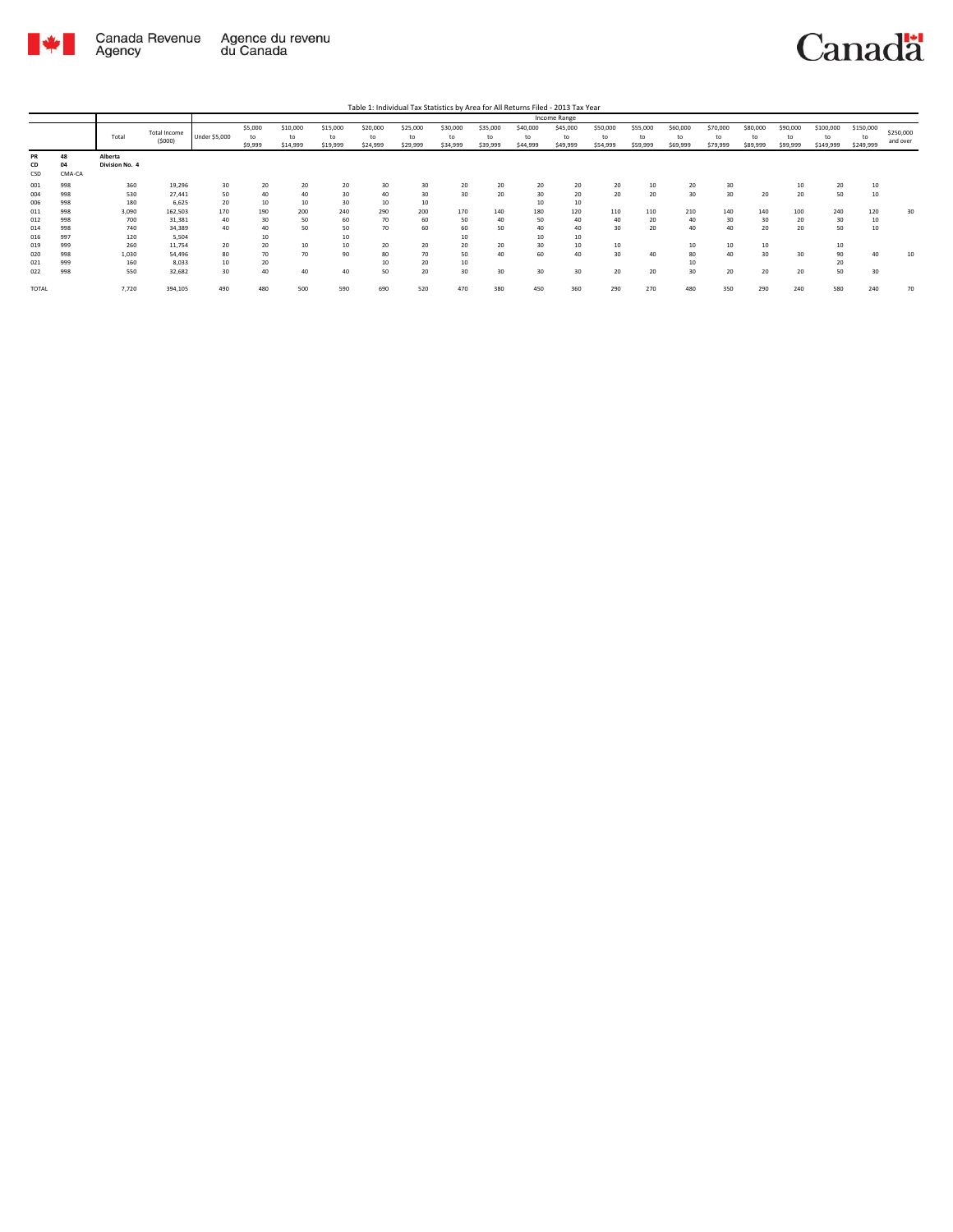

Table 1: Individual Tax Statistics by Area for All Returns Filed - 2013 Tax Year

|       |        |                |                        |               |                          |                            |                            |                            |                            |                            |                            |                            | Income Range               |                            |                            |                            |                            |                            |                            |                                        |                              |                       |
|-------|--------|----------------|------------------------|---------------|--------------------------|----------------------------|----------------------------|----------------------------|----------------------------|----------------------------|----------------------------|----------------------------|----------------------------|----------------------------|----------------------------|----------------------------|----------------------------|----------------------------|----------------------------|----------------------------------------|------------------------------|-----------------------|
|       |        | Total          | Total Income<br>(5000) | Under \$5,000 | \$5,000<br>to<br>\$9,999 | \$10,000<br>to<br>\$14,999 | \$15,000<br>to<br>\$19,999 | \$20,000<br>to<br>\$24,999 | \$25,000<br>to<br>\$29,999 | \$30,000<br>to<br>\$34,999 | \$35,000<br>to<br>\$39,999 | \$40,000<br>to<br>\$44,999 | \$45,000<br>to<br>\$49,999 | \$50,000<br>to<br>\$54,999 | \$55,000<br>to<br>\$59,999 | \$60,000<br>to<br>\$69,999 | \$70,000<br>to<br>\$79,999 | \$80,000<br>to<br>\$89,999 | \$90,000<br>to<br>\$99,999 | \$100,000<br>$^{\dagger}$<br>\$149,999 | \$150,000<br>to<br>\$249,999 | \$250,000<br>and over |
| PR    | 48     | Alberta        |                        |               |                          |                            |                            |                            |                            |                            |                            |                            |                            |                            |                            |                            |                            |                            |                            |                                        |                              |                       |
| CD    | 04     | Division No. 4 |                        |               |                          |                            |                            |                            |                            |                            |                            |                            |                            |                            |                            |                            |                            |                            |                            |                                        |                              |                       |
| CSD   | CMA-CA |                |                        |               |                          |                            |                            |                            |                            |                            |                            |                            |                            |                            |                            |                            |                            |                            |                            |                                        |                              |                       |
| 001   | 998    | 360            | 19,296                 | 30            | 20                       | 20                         | 20                         | 30                         | 30                         | 20                         | 20                         | 20                         | 20                         | 20                         | 10                         | 20                         | 30                         |                            |                            | 20                                     | 10                           |                       |
| 004   | 998    | 530            | 27,441                 | 50            | 40                       | 40                         | 30                         | 40                         | 30                         | 30                         | 20                         | 30                         | 20                         | 20                         | 20                         | 30                         | 30                         | 20                         | 20                         | 50                                     | 10                           |                       |
| 006   | 998    | 180            | 6,625                  | 20            | 10                       | 10                         | 30                         | 10                         | 10                         |                            |                            | 10                         | 10                         |                            |                            |                            |                            |                            |                            |                                        |                              |                       |
| 011   | 998    | 3,090          | 162,503                | 170           | 190                      | 200                        | 240                        | 290                        | 200                        | 170                        | 140                        | 180                        | 120                        | 110                        | 110                        | 210                        | 140                        | 140                        | 100                        | 240                                    | 120                          | 30                    |
| 012   | 998    | 700            | 31,381                 | 40            | 30                       | 50                         | 60                         | 70                         | 60                         | 50                         | 40                         | 50                         | 40                         | 40                         | 20                         | 40                         | 30                         | 30                         | 20                         | 30                                     | 10                           |                       |
| 014   | 998    | 740            | 34,389                 | 40            | 40                       | 50                         | 50                         | 70                         | 60                         | 60                         | 50                         | 40                         | 40                         | 30                         | 20                         | 40                         | 40                         | 20                         | 20                         | 50                                     | 10                           |                       |
| 016   | 997    | 120            | 5,504                  |               | 10                       |                            | 10                         |                            |                            | 10                         |                            | 10                         | 10                         |                            |                            |                            |                            |                            |                            |                                        |                              |                       |
| 019   | 999    | 260            | 11,754                 | 20            | 20                       | 10                         | 10                         | 20                         | 20                         | 20                         | 20                         | 30                         | 10                         | 10                         |                            | 10                         | 10                         | 10                         |                            | 10                                     |                              |                       |
| 020   | 998    | 1,030          | 54,496                 | 80            | 70                       | 70                         | 90                         | 80                         | 70                         | 50                         | 40                         | 60                         | 40                         | 30                         | 40                         | 80                         | 40                         | 30                         | 30                         | 90                                     | 40                           |                       |
| 021   | 999    | 160            | 8,033                  | 10            | 20                       |                            |                            | 10                         | 20                         | 10                         |                            |                            |                            |                            |                            |                            |                            |                            |                            | 20                                     |                              |                       |
| 022   | 998    | 550            | 32,682                 | 30            | 40                       | 40                         | 40                         | 50                         | 20                         | 30                         | 30                         | 30                         | 30                         | 20                         | 20                         | 30                         | 20                         | 20                         | 20                         | 50                                     | 30                           |                       |
| TOTAL |        | 7,720          | 394,105                | 490           | 480                      | 500                        | 590                        | 690                        | 520                        | 470                        | 380                        | 450                        | 360                        | 290                        | 270                        | 480                        | 350                        | 290                        | 240                        | 580                                    | 240                          | 70                    |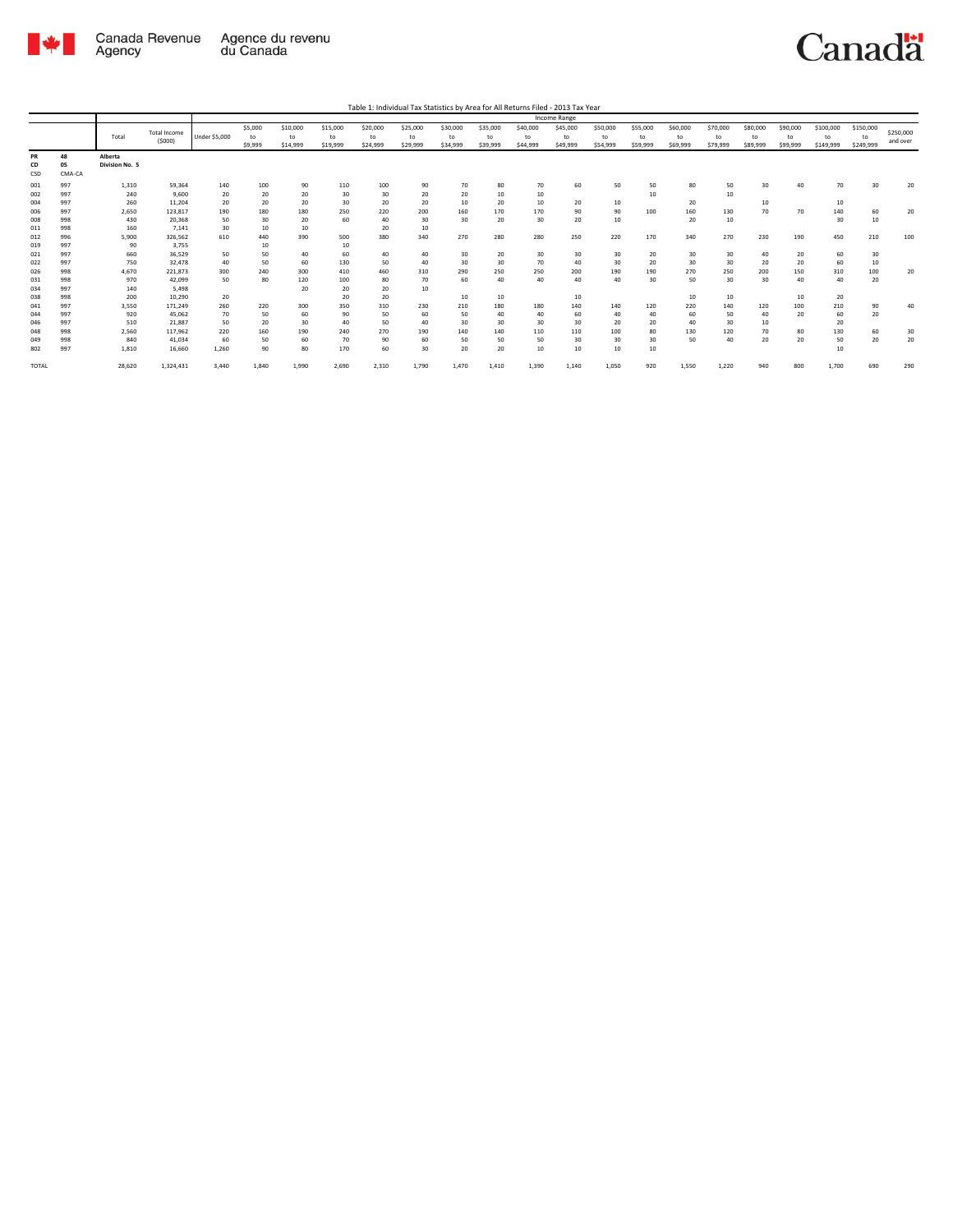

|       |        |                |                     |                      |         |          |          |          |          |          |          |          | Income Range |          |          |          |          |          |          |           |           |           |
|-------|--------|----------------|---------------------|----------------------|---------|----------|----------|----------|----------|----------|----------|----------|--------------|----------|----------|----------|----------|----------|----------|-----------|-----------|-----------|
|       |        |                | <b>Total Income</b> |                      | \$5,000 | \$10,000 | \$15,000 | \$20,000 | \$25,000 | \$30,000 | \$35,000 | \$40,000 | \$45,000     | \$50,000 | \$55,000 | \$60,000 | \$70,000 | \$80,000 | \$90,000 | \$100,000 | \$150,000 | \$250,000 |
|       |        | Total          | (5000)              | <b>Under \$5,000</b> | to      | to       | to       | to       | to       | to       | to       | to       | to           | to       | to       | to       | to       | to       | to       | to        | to        | and over  |
|       |        |                |                     |                      | \$9,999 | \$14,999 | \$19,999 | \$24,999 | \$29,999 | \$34,999 | \$39,999 | \$44,999 | \$49,999     | \$54,999 | \$59,999 | \$69,999 | \$79,999 | \$89,999 | \$99,999 | \$149,999 | \$249,999 |           |
| PR    | 48     | Alberta        |                     |                      |         |          |          |          |          |          |          |          |              |          |          |          |          |          |          |           |           |           |
| CD    | 05     | Division No. 5 |                     |                      |         |          |          |          |          |          |          |          |              |          |          |          |          |          |          |           |           |           |
| CSD   | CMA-CA |                |                     |                      |         |          |          |          |          |          |          |          |              |          |          |          |          |          |          |           |           |           |
| 001   | 997    | 1,310          | 59,364              | 140                  | 100     | 90       | 110      | 100      | 90       | 70       | 80       | 70       | 60           | 50       | 50       | 80       | 50       | 30       | 40       | 70        | 30        | 20        |
| 002   | 997    | 240            | 9.600               | 20                   | 20      | 20       | 30       | 30       | 20       | 20       | 10       | 10       |              |          | 10       |          | 10       |          |          |           |           |           |
| 004   | 997    | 260            | 11.204              | 20                   | 20      | 20       | 30       | 20       | 20       | 10       | 20       | 10       | 20           | 10       |          | 20       |          | 10       |          | 10        |           |           |
| 006   | 997    | 2,650          | 123,817             | 190                  | 180     | 180      | 250      | 220      | 200      | 160      | 170      | 170      | 90           | 90       | 100      | 160      | 130      | 70       | 70       | 140       | 60        | 20        |
| 008   | 998    | 430            | 20,368              | 50                   | 30      | 20       | 60       | 40       | 30       | 30       | 20       | 30       | 20           | 10       |          | 20       | 10       |          |          | 30        | 10        |           |
| 011   | 998    | 160            | 7.141               | 30                   | 10      | 10       |          | 20       | 10       |          |          |          |              |          |          |          |          |          |          |           |           |           |
| 012   | 996    | 5.900          | 326.562             | 610                  | 440     | 390      | 500      | 380      | 340      | 270      | 280      | 280      | 250          | 220      | 170      | 340      | 270      | 230      | 190      | 450       | 210       | 100       |
| 019   | 997    | 90             | 3,755               |                      | 10      |          | 10       |          |          |          |          |          |              |          |          |          |          |          |          |           |           |           |
| 021   | 997    | 660            | 36.529              | 50                   | 50      | 40       | 60       | 40       | 40       | 30       | 20       | 30       | 30           | 30       | 20       | 30       | 30       | 40       | 20       | 60        | 30        |           |
| 022   | 997    | 750            | 32.478              | 40                   | 50      | 60       | 130      | 50       | 40       | 30       | 30       | 70       | 40           | 30       | 20       | 30       | 30       | 20       | 20       | 60        | 10        |           |
| 026   | 998    | 4,670          | 221.873             | 300                  | 240     | 300      | 410      | 460      | 310      | 290      | 250      | 250      | 200          | 190      | 190      | 270      | 250      | 200      | 150      | 310       | 100       | 20        |
| 031   | 998    | 970            | 42.099              | 50                   | 80      | 120      | 100      | 80       | 70       | 60       | 40       | 40       | 40           | 40       | 30       | 50       | 30       | 30       | 40       | 40        | 20        |           |
| 034   | 997    | 140            | 5,498               |                      |         | 20       | 20       | 20       | 10       |          |          |          |              |          |          |          |          |          |          |           |           |           |
| 038   | 998    | 200            | 10,290              | 20                   |         |          | 20       | 20       |          | 10       | 10       |          | 10           |          |          | 10       | 10       |          | 10       | 20        |           |           |
| 041   | 997    | 3.550          | 171.249             | 260                  | 220     | 300      | 350      | 310      | 230      | 210      | 180      | 180      | 140          | 140      | 120      | 220      | 140      | 120      | 100      | 210       | 90        | 40        |
| 044   | 997    | 920            | 45.062              | 70                   | 50      | 60       | 90       | 50       | 60       | 50       | 40       | 40       | 60           | 40       | 40       | 60       | 50       | 40       | 20       | 60        | 20        |           |
| 046   | 997    | 510            | 21,887              | 50                   | 20      | 30       | 40       | 50       | 40       | 30       | 30       | 30       | 30           | 20       | 20       | 40       | 30       | 10       |          | 20        |           |           |
| 048   | 998    | 2,560          | 117.962             | 220                  | 160     | 190      | 240      | 270      | 190      | 140      | 140      | 110      | 110          | 100      | 80       | 130      | 120      | 70       | 80       | 130       | 60        | 30        |
| 049   | 998    | 840            | 41,034              | 60                   | 50      | 60       | 70       | 90       | 60       | 50       | 50       | 50       | 30           | 30       | 30       | 50       | 40       | 20       | 20       | 50        | 20        | 20        |
| 802   | 997    | 1,810          | 16,660              | 1,260                | 90      | 80       | 170      | 60       | 30       | 20       | 20       | 10       | 10           | 10       | 10       |          |          |          |          | 10        |           |           |
| TOTAL |        | 28,620         | 1,324,431           | 3,440                | 1.840   | 1,990    | 2,690    | 2,310    | 1,790    | 1,470    | 1,410    | 1,390    | 1,140        | 1,050    | 920      | 1,550    | 1,220    | 940      | 800      | 1,700     | 690       | 290       |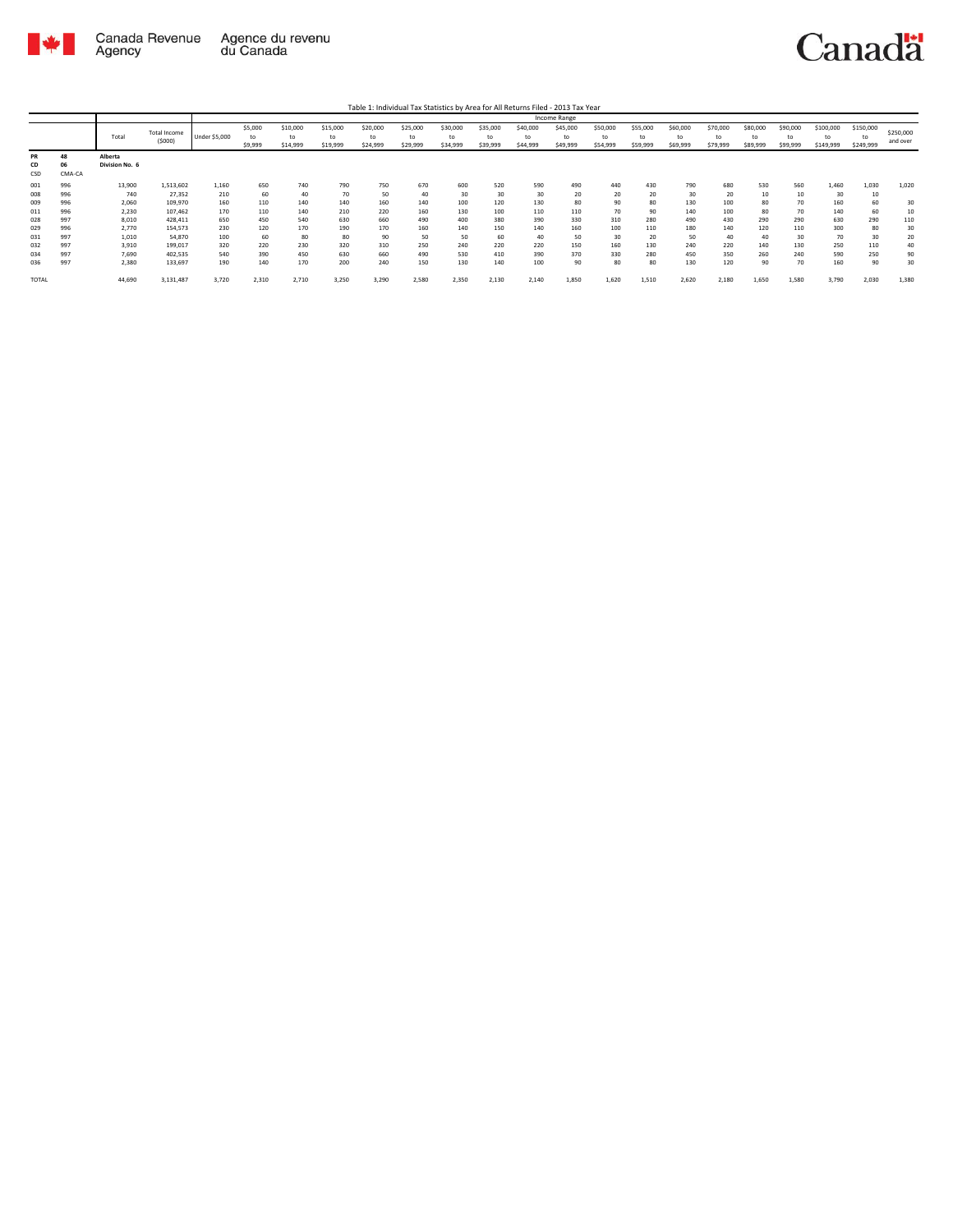

Table 1: Individual Tax Statistics by Area for All Returns Filed - 2013 Tax Year

|                 |                    |                           |                               |               |                          |                            |                            |                            |                            |                            |                            |                            | <b>Income Range</b>        |                            |                            |                            |                            |                            |                            |                        |                              |                       |
|-----------------|--------------------|---------------------------|-------------------------------|---------------|--------------------------|----------------------------|----------------------------|----------------------------|----------------------------|----------------------------|----------------------------|----------------------------|----------------------------|----------------------------|----------------------------|----------------------------|----------------------------|----------------------------|----------------------------|------------------------|------------------------------|-----------------------|
|                 |                    | Total                     | <b>Total Income</b><br>(5000) | Under \$5,000 | \$5,000<br>to<br>\$9,999 | \$10,000<br>to<br>\$14,999 | \$15,000<br>to<br>\$19,999 | \$20,000<br>to<br>\$24,999 | \$25,000<br>to<br>\$29,999 | \$30,000<br>to<br>\$34,999 | \$35,000<br>to<br>\$39,999 | \$40,000<br>to<br>\$44,999 | \$45,000<br>to<br>\$49,999 | \$50,000<br>to<br>\$54,999 | \$55,000<br>to<br>\$59,999 | \$60,000<br>to<br>\$69,999 | \$70,000<br>to<br>\$79,999 | \$80,000<br>to<br>\$89,999 | \$90,000<br>to<br>\$99,999 | \$100,000<br>\$149,999 | \$150,000<br>to<br>\$249,999 | \$250,000<br>and over |
| PR<br>CD<br>CSD | 48<br>06<br>CMA-CA | Alberta<br>Division No. 6 |                               |               |                          |                            |                            |                            |                            |                            |                            |                            |                            |                            |                            |                            |                            |                            |                            |                        |                              |                       |
| 001             | 996                | 13,900                    | 1,513,602                     | 1.160         | 650                      | 740                        | 790                        | 750                        | 670                        | 600                        | 520                        | 590                        | 490                        | 440                        | 430                        | 790                        | 680                        | 530                        | 560                        | 1.460                  | 1,030                        | 1,020                 |
| 008             | 996                | 740                       | 27,352                        | 210           | 60                       | 40                         | 70                         | 50                         | 40                         | 30                         | 30                         | 30                         | 20                         | 20                         | 20                         | 30                         | 20                         | 10                         | 10                         | 30                     | 10                           |                       |
| 009             | 996                | 2,060                     | 109,970                       | 160           | 110                      | 140                        | 140                        | 160                        | 140                        | 100                        | 120                        | 130                        | 80                         | 90                         | 80                         | 130                        | 100                        | 80                         | 70                         | 160                    | 60                           | 30                    |
| 011             | 996                | 2,230                     | 107,462                       | 170           | 110                      | 140                        | 210                        | 220                        | 160                        | 130                        | 100                        | 110                        | 110                        | 70                         | 90                         | 140                        | 100                        | 80                         | 70                         | 140                    | 60                           | 10                    |
| 028             | 997                | 8,010                     | 428,411                       | 650           | 450                      | 540                        | 630                        | 660                        | 490                        | 400                        | 380                        | 390                        | 330                        | 310                        | 280                        | 490                        | 430                        | 290                        | 290                        | 630                    | 290                          | 110                   |
| 029             | 996                | 2,770                     | 154,573                       | 230           | 120                      | 170                        | 190                        | 170                        | 160                        | 140                        | 150                        | 140                        | 160                        | 100                        | 110                        | 180                        | 140                        | 120                        | 110                        | 300                    | 80                           | 30                    |
| 031             | 997                | 1,010                     | 54,870                        | 100           | 60                       | 80                         | 80                         | 90                         | 50                         | 50                         | 60                         | 40                         | 50                         | 30                         | 20                         | 50                         | 40                         | 40                         | 30                         | 70                     | 30                           | 20                    |
| 032             | 997                | 3,910                     | 199,017                       | 320           | 220                      | 230                        | 320                        | 310                        | 250                        | 240                        | 220                        | 220                        | 150                        | 160                        | 130                        | 240                        | 220                        | 140                        | 130                        | 250                    | 110                          | 40                    |
| 034             | 997                | 7,690                     | 402,535                       | 540           | 390                      | 450                        | 630                        | 660                        | 490                        | 530                        | 410                        | 390                        | 370                        | 330                        | 280                        | 450                        | 350                        | 260                        | 240                        | 590                    | 250                          | 90                    |
| 036             | 997                | 2,380                     | 133,697                       | 190           | 140                      | 170                        | 200                        | 240                        | 150                        | 130                        | 140                        | 100                        | 90                         | 80                         | 80                         | 130                        | 120                        | 90                         | 70                         | 160                    | 90                           | 30                    |
| <b>TOTAL</b>    |                    | 44,690                    | 3,131,487                     | 3,720         | 2,310                    | 2,710                      | 3,250                      | 3,290                      | 2,580                      | 2,350                      | 2,130                      | 2,140                      | 1,850                      | 1.620                      | 1,510                      | 2,620                      | 2,180                      | 1,650                      | 1,580                      | 3,790                  | 2,030                        | 1,380                 |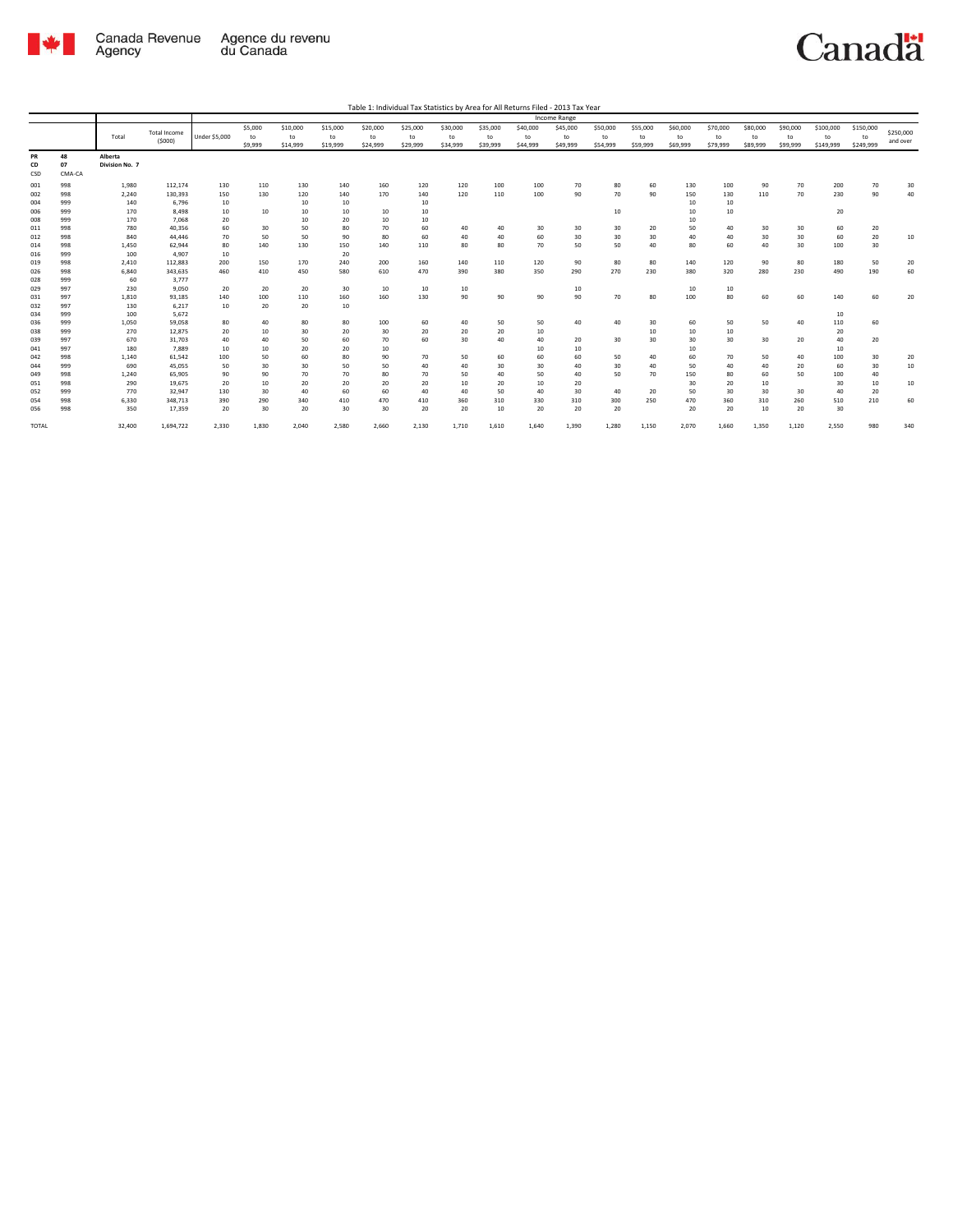

|                 |                    |                           |                               |               |                          |                            |                            |                            |                            |                            |                            |                            | Income Range               |                            |                            |                            |                            |                            |                            |                              |                              |                       |
|-----------------|--------------------|---------------------------|-------------------------------|---------------|--------------------------|----------------------------|----------------------------|----------------------------|----------------------------|----------------------------|----------------------------|----------------------------|----------------------------|----------------------------|----------------------------|----------------------------|----------------------------|----------------------------|----------------------------|------------------------------|------------------------------|-----------------------|
|                 |                    | Total                     | <b>Total Income</b><br>(5000) | Under \$5,000 | \$5,000<br>to<br>\$9,999 | \$10,000<br>to<br>\$14,999 | \$15,000<br>to<br>\$19,999 | \$20,000<br>to<br>\$24,999 | \$25,000<br>to<br>\$29,999 | \$30,000<br>to<br>\$34,999 | \$35,000<br>to<br>\$39,999 | \$40,000<br>to<br>\$44,999 | \$45,000<br>to<br>\$49,999 | \$50,000<br>to<br>\$54,999 | \$55,000<br>to<br>\$59,999 | \$60,000<br>to<br>\$69,999 | \$70,000<br>to<br>\$79,999 | \$80,000<br>to<br>\$89,999 | \$90,000<br>to<br>\$99,999 | \$100,000<br>to<br>\$149,999 | \$150,000<br>to<br>\$249,999 | \$250,000<br>and over |
| PR<br>CD<br>CSD | 48<br>07<br>CMA-CA | Alberta<br>Division No. 7 |                               |               |                          |                            |                            |                            |                            |                            |                            |                            |                            |                            |                            |                            |                            |                            |                            |                              |                              |                       |
| 001             | 998                | 1,980                     | 112,174                       | 130           | 110                      | 130                        | 140                        | 160                        | 120                        | 120                        | 100                        | 100                        | 70                         | 80                         | 60                         | 130                        | 100                        | 90                         | 70                         | 200                          | 70                           | 30                    |
| 002             | 998                | 2,240                     | 130,393                       | 150           | 130                      | 120                        | 140                        | 170                        | 140                        | 120                        | 110                        | 100                        | 90                         | 70                         | 90                         | 150                        | 130                        | 110                        | 70                         | 230                          | 90                           | 40                    |
| 004             | 999                | 140                       | 6.796                         | 10            |                          | 10                         | 10                         |                            | 10                         |                            |                            |                            |                            |                            |                            | 10                         | 10                         |                            |                            |                              |                              |                       |
| 006             | 999                | 170                       | 8.498                         | 10            | 10                       | 10                         | 10                         | 10                         | 10                         |                            |                            |                            |                            | 10                         |                            | 10                         | 10                         |                            |                            | 20                           |                              |                       |
| 008             | 999                | 170                       | 7,068                         | 20            |                          | 10                         | 20                         | 10                         | 10                         |                            |                            |                            |                            |                            |                            | 10                         |                            |                            |                            |                              |                              |                       |
| 011             | 998                | 780                       | 40,356                        | 60            | 30                       | 50                         | 80                         | 70                         | 60                         | 40                         | 40                         | 30                         | 30                         | 30                         | 20                         | 50                         | 40                         | 30                         | 30                         | 60                           | 20                           |                       |
| 012             | 998                | 840                       | 44.446                        | 70            | 50                       | 50                         | 90                         | 80                         | 60                         | 40                         | 40                         | 60                         | 30                         | 30                         | 30                         | 40                         | 40                         | 30                         | 30                         | 60                           | ${\bf 20}$                   | 10                    |
| 014             | 998                | 1.450                     | 62.944                        | 80            | 140                      | 130                        | 150                        | 140                        | 110                        | 80                         | 80                         | 70                         | 50                         | 50                         | 40                         | 80                         | 60                         | 40                         | 30                         | 100                          | 30                           |                       |
| 016             | 999                | 100                       | 4.907                         | 10            |                          |                            | 20                         |                            |                            |                            |                            |                            |                            |                            |                            |                            |                            |                            |                            |                              |                              |                       |
| 019             | 998                | 2,410                     | 112,883                       | 200           | 150                      | 170                        | 240                        | 200                        | 160                        | 140                        | 110                        | 120                        | 90                         | 80                         | 80                         | 140                        | 120                        | 90                         | 80                         | 180                          | 50                           | 20                    |
| 026             | 998                | 6,840                     | 343.635                       | 460           | 410                      | 450                        | 580                        | 610                        | 470                        | 390                        | 380                        | 350                        | 290                        | 270                        | 230                        | 380                        | 320                        | 280                        | 230                        | 490                          | 190                          | 60                    |
| 028             | 999                | 60                        | 3,777                         |               |                          |                            |                            |                            |                            |                            |                            |                            |                            |                            |                            |                            |                            |                            |                            |                              |                              |                       |
| 029             | 997                | 230                       | 9.050                         | 20            | 20                       | 20                         | 30                         | 10                         | 10                         | 10                         |                            |                            | 10                         |                            |                            | 10                         | 10                         |                            |                            |                              |                              |                       |
| 031             | 997                | 1,810                     | 93,185                        | 140           | 100                      | 110                        | 160                        | 160                        | 130                        | 90                         | 90                         | 90                         | 90                         | 70                         | 80                         | 100                        | 80                         | 60                         | 60                         | 140                          | 60                           | 20                    |
| 032             | 997                | 130                       | 6,217                         | 10            | 20                       | 20                         | 10                         |                            |                            |                            |                            |                            |                            |                            |                            |                            |                            |                            |                            |                              |                              |                       |
| 034             | 999                | 100                       | 5.672                         |               |                          |                            |                            |                            |                            |                            |                            |                            |                            | 40                         |                            |                            |                            |                            |                            | 10                           |                              |                       |
| 036             | 999<br>999         | 1,050<br>270              | 59,058<br>12,875              | 80<br>20      | 40<br>10                 | 80<br>30                   | 80<br>20                   | 100<br>30                  | 60<br>20                   | 40<br>20                   | 50<br>20                   | 50<br>10                   | 40                         |                            | 30<br>10                   | 60<br>10                   | 50<br>10                   | 50                         | 40                         | 110<br>20                    | 60                           |                       |
| 038<br>039      | 997                | 670                       | 31.703                        | 40            | 40                       | 50                         | 60                         | 70                         | 60                         | 30                         | 40                         | 40                         | 20                         | 30                         | 30                         | 30                         | 30                         | 30                         | 20                         | 40                           | 20                           |                       |
| 041             | 997                | 180                       | 7,889                         | 10            | 10                       | 20                         | 20                         | 10                         |                            |                            |                            | 10                         | 10                         |                            |                            | 10                         |                            |                            |                            | 10                           |                              |                       |
| 042             | 998                | 1,140                     | 61.542                        | 100           | 50                       | 60                         | 80                         | 90                         | 70                         | 50                         | 60                         | 60                         | 60                         | 50                         | 40                         | 60                         | 70                         | 50                         | 40                         | 100                          | 30                           | 20                    |
| 044             | 999                | 690                       | 45,055                        | 50            | 30                       | 30                         | 50                         | 50                         | 40                         | 40                         | 30                         | 30                         | 40                         | 30                         | 40                         | 50                         | 40                         | 40                         | 20                         | 60                           | 30                           | 10                    |
| 049             | 998                | 1,240                     | 65,905                        | 90            | 90                       | 70                         | 70                         | 80                         | 70                         | 50                         | 40                         | 50                         | 40                         | 50                         | 70                         | 150                        | 80                         | 60                         | 50                         | 100                          | 40                           |                       |
| 051             | 998                | 290                       | 19.675                        | 20            | 10                       | 20                         | 20                         | 20                         | 20                         | 10                         | 20                         | 10                         | 20                         |                            |                            | 30                         | 20                         | 10                         |                            | 30                           | 10                           | 10                    |
| 052             | 999                | 770                       | 32,947                        | 130           | 30                       | 40                         | 60                         | 60                         | 40                         | 40                         | 50                         | 40                         | 30                         | 40                         | 20                         | 50                         | 30                         | 30                         | 30                         | 40                           | 20                           |                       |
| 054             | 998                | 6,330                     | 348.713                       | 390           | 290                      | 340                        | 410                        | 470                        | 410                        | 360                        | 310                        | 330                        | 310                        | 300                        | 250                        | 470                        | 360                        | 310                        | 260                        | 510                          | 210                          | 60                    |
| 056             | 998                | 350                       | 17,359                        | 20            | 30                       | 20                         | 30                         | 30                         | 20                         | 20                         | 10                         | 20                         | 20                         | 20                         |                            | 20                         | 20                         | 10                         | 20                         | 30                           |                              |                       |
| <b>TOTAL</b>    |                    | 32.400                    | 1,694,722                     | 2,330         | 1,830                    | 2,040                      | 2,580                      | 2,660                      | 2,130                      | 1,710                      | 1,610                      | 1,640                      | 1,390                      | 1.280                      | 1,150                      | 2.070                      | 1,660                      | 1,350                      | 1,120                      | 2,550                        | 980                          | 340                   |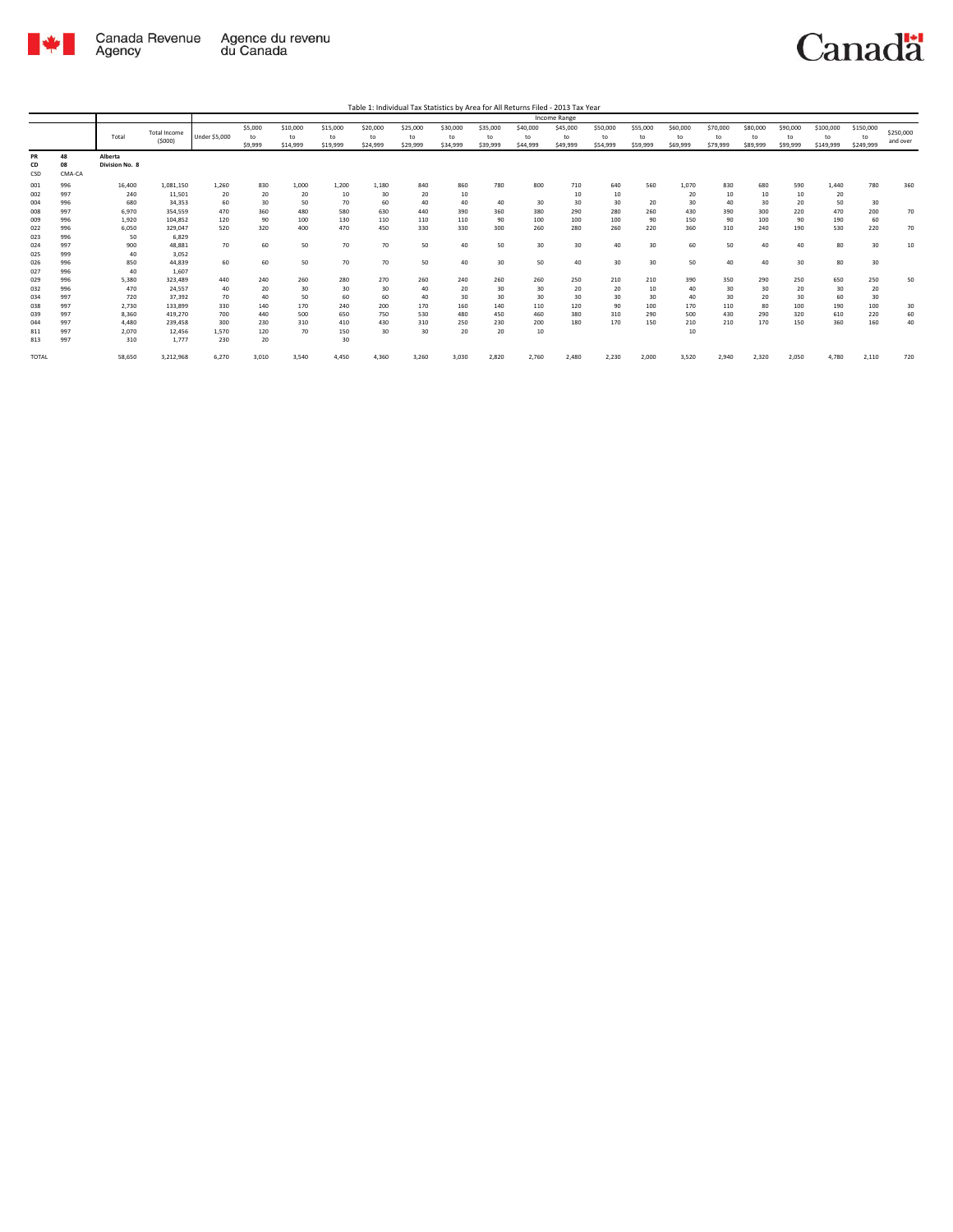

|              |        |                |                     |                      |         |          |          |          |          |          |          |          | Income Range |          |          |          |          |          |          |           |           |           |
|--------------|--------|----------------|---------------------|----------------------|---------|----------|----------|----------|----------|----------|----------|----------|--------------|----------|----------|----------|----------|----------|----------|-----------|-----------|-----------|
|              |        |                | <b>Total Income</b> |                      | \$5,000 | \$10,000 | \$15,000 | \$20,000 | \$25,000 | \$30,000 | \$35,000 | \$40,000 | \$45,000     | \$50,000 | \$55,000 | \$60,000 | \$70,000 | \$80,000 | \$90,000 | \$100,000 | \$150,000 | \$250,000 |
|              |        | Total          |                     | <b>Under \$5,000</b> | to      | to       | to       | to       | to       | to       | to       | to       | to           | to       | to       | to       | to       | to       | to       | to        | to        |           |
|              |        |                | (5000)              |                      | \$9,999 | \$14,999 | \$19,999 | \$24,999 | \$29,999 | \$34,999 | \$39,999 | \$44,999 | \$49,999     | \$54,999 | \$59,999 | \$69,999 | \$79,999 | \$89,999 | \$99,999 | \$149,999 | \$249,999 | and over  |
| PR           | 48     | Alberta        |                     |                      |         |          |          |          |          |          |          |          |              |          |          |          |          |          |          |           |           |           |
| CD           | 08     | Division No. 8 |                     |                      |         |          |          |          |          |          |          |          |              |          |          |          |          |          |          |           |           |           |
| CSD          | CMA-CA |                |                     |                      |         |          |          |          |          |          |          |          |              |          |          |          |          |          |          |           |           |           |
| 001          | 996    | 16,400         | 1,081,150           | 1,260                | 830     | 1,000    | 1.200    | 1,180    | 840      | 860      | 780      | 800      | 710          | 640      | 560      | 1,070    | 830      | 680      | 590      | 1,440     | 780       | 360       |
| 002          | 997    | 240            | 11,501              | 20                   | 20      | 20       | 10       | 30       | 20       | 10       |          |          | 10           | 10       |          | 20       | 10       | 10       | 10       | 20        |           |           |
| 004          | 996    | 680            | 34,353              | 60                   | 30      | 50       | 70       | 60       | 40       | 40       | 40       | 30       | 30           | 30       | 20       | 30       | 40       | 30       | 20       | 50        | 30        |           |
| 008          | 997    | 6,970          | 354,559             | 470                  | 360     | 480      | 580      | 630      | 440      | 390      | 360      | 380      | 290          | 280      | 260      | 430      | 390      | 300      | 220      | 470       | 200       | 70        |
| 009          | 996    | 1,920          | 104.852             | 120                  | 90      | 100      | 130      | 110      | 110      | 110      | 90       | 100      | 100          | 100      | 90       | 150      | 90       | 100      | 90       | 190       | 60        |           |
| 022          | 996    | 6,050          | 329.047             | 520                  | 320     | 400      | 470      | 450      | 330      | 330      | 300      | 260      | 280          | 260      | 220      | 360      | 310      | 240      | 190      | 530       | 220       | 70        |
| 023          | 996    | 50             | 6,829               |                      |         |          |          |          |          |          |          |          |              |          |          |          |          |          |          |           |           |           |
| 024          | 997    | 900            | 48,881              | 70                   | 60      | 50       | 70       | 70       | 50       | 40       | 50       | 30       | 30           | 40       | 30       | 60       | 50       | 40       | 40       | 80        | 30        | 10        |
| 025          | 999    | 40             | 3,052               |                      |         |          |          |          |          |          |          |          |              |          |          |          |          |          |          |           |           |           |
| 026          | 996    | 850            | 44.839              | 60                   | 60      | 50       | 70       | 70       | 50       | 40       | 30       | 50       | 40           | 30       | 30       | 50       | 40       | 40       | 30       | 80        | 30        |           |
| 027          | 996    | 40             | 1.607               |                      |         |          |          |          |          |          |          |          |              |          |          |          |          |          |          |           |           |           |
| 029          | 996    | 5,380          | 323.489             | 440                  | 240     | 260      | 280      | 270      | 260      | 240      | 260      | 260      | 250          | 210      | 210      | 390      | 350      | 290      | 250      | 650       | 250       | 50        |
| 032          | 996    | 470            | 24.557              | 40                   | 20      | 30       | 30       | 30       | 40       | 20       | 30       | 30       | 20           | 20       | 10       | 40       | 30       | 30       | 20       | 30        | 20        |           |
| 034          | 997    | 720            | 37.392              | 70                   | 40      | 50       | 60       | 60       | 40       | 30       | 30       | 30       | 30           | 30       | 30       | 40       | 30       | 20       | 30       | 60        | 30        |           |
| 038          | 997    | 2,730          | 133,899             | 330                  | 140     | 170      | 240      | 200      | 170      | 160      | 140      | 110      | 120          | 90       | 100      | 170      | 110      | 80       | 100      | 190       | 100       | 30        |
| 039          | 997    | 8,360          | 419.270             | 700                  | 440     | 500      | 650      | 750      | 530      | 480      | 450      | 460      | 380          | 310      | 290      | 500      | 430      | 290      | 320      | 610       | 220       | 60        |
| 044          | 997    | 4,480          | 239,458             | 300                  | 230     | 310      | 410      | 430      | 310      | 250      | 230      | 200      | 180          | 170      | 150      | 210      | 210      | 170      | 150      | 360       | 160       | 40        |
| 811          | 997    | 2,070          | 12,456              | 1,570                | 120     | 70       | 150      | 30       | 30       | 20       | 20       | 10       |              |          |          | 10       |          |          |          |           |           |           |
| 813          | 997    | 310            | 1,777               | 230                  | 20      |          | 30       |          |          |          |          |          |              |          |          |          |          |          |          |           |           |           |
|              |        |                |                     |                      |         |          |          |          |          |          |          |          |              |          |          |          |          |          |          |           |           |           |
| <b>TOTAL</b> |        | 58,650         | 3,212,968           | 6,270                | 3,010   | 3.540    | 4.450    | 4.360    | 3.260    | 3.030    | 2.820    | 2.760    | 2.480        | 2.230    | 2,000    | 3.520    | 2.940    | 2.320    | 2,050    | 4.780     | 2,110     | 720       |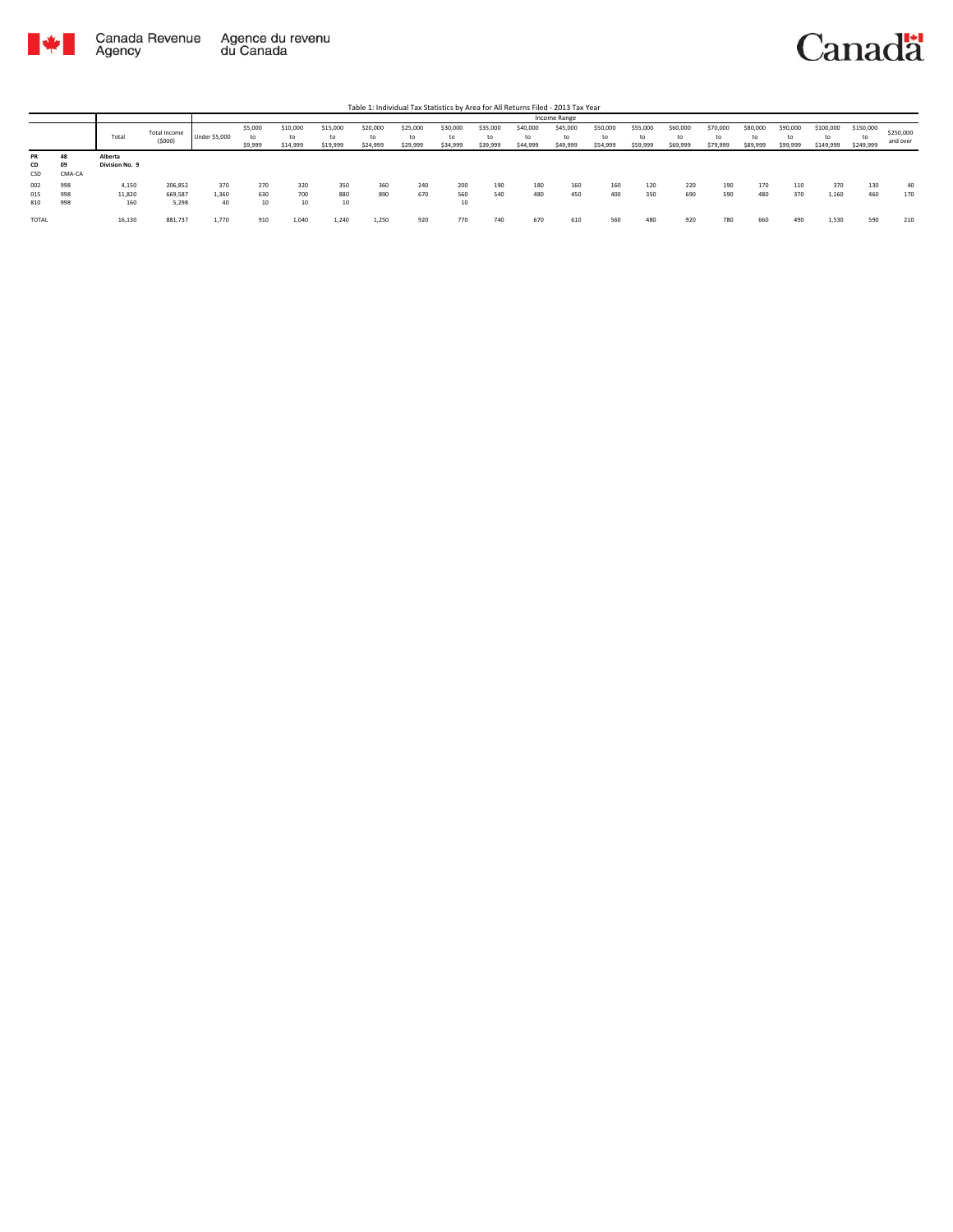

|            |        |                |                        |               |                          |                            |                      |                            |                            |                            |                            |                            | Income Range               |                            |                            |                            |                            |                            |                            |                        |                              |                       |
|------------|--------|----------------|------------------------|---------------|--------------------------|----------------------------|----------------------|----------------------------|----------------------------|----------------------------|----------------------------|----------------------------|----------------------------|----------------------------|----------------------------|----------------------------|----------------------------|----------------------------|----------------------------|------------------------|------------------------------|-----------------------|
|            |        | Total          | Total Income<br>(5000) | Under \$5,000 | \$5,000<br>to<br>\$9,999 | \$10,000<br>to<br>\$14,999 | \$15,000<br>\$19,999 | \$20,000<br>to<br>\$24,999 | \$25,000<br>to<br>\$29,999 | \$30,000<br>to<br>\$34,999 | \$35,000<br>to<br>\$39,999 | \$40,000<br>to<br>\$44,999 | \$45,000<br>to<br>\$49,999 | \$50,000<br>to<br>\$54,999 | \$55,000<br>to<br>\$59,999 | \$60,000<br>to<br>\$69,999 | \$70,000<br>to<br>\$79,999 | \$80,000<br>to<br>\$89,999 | \$90,000<br>to<br>\$99,999 | \$100,000<br>\$149,999 | \$150,000<br>to<br>\$249,999 | \$250,000<br>and over |
| <b>PR</b>  |        | Alberta        |                        |               |                          |                            |                      |                            |                            |                            |                            |                            |                            |                            |                            |                            |                            |                            |                            |                        |                              |                       |
| CD         | 09     | Division No. 9 |                        |               |                          |                            |                      |                            |                            |                            |                            |                            |                            |                            |                            |                            |                            |                            |                            |                        |                              |                       |
| <b>CSD</b> | CMA-CA |                |                        |               |                          |                            |                      |                            |                            |                            |                            |                            |                            |                            |                            |                            |                            |                            |                            |                        |                              |                       |
| 002        | 998    | 4,150          | 206,852                | 370           | 270                      | 320                        | 350                  | 360                        | 240                        | 200                        | 190                        | 180                        | 160                        | 160                        | 120                        | 220                        | 190                        | 170                        | 110                        | 370                    | 130                          | 40                    |
| 015        | 998    | 11,820         | 669,587                | 1,360         | 630                      | 700                        | 880                  | 890                        | 670                        | 560                        | 540                        | 480                        | 450                        | 400                        | 350                        | 690                        | 590                        | 480                        | 370                        | 1,160                  | 460                          | 170                   |
| 810        | 998    | 160            | 5,298                  | 40            | 10                       | 10                         | 10                   |                            |                            | 10                         |                            |                            |                            |                            |                            |                            |                            |                            |                            |                        |                              |                       |
| TOTAL      |        | 16,130         | 881,737                | 1,770         | 910                      | 1,040                      | 1,240                | 1,250                      | 920                        | 770                        | 740                        | 670                        | 610                        | 560                        | 480                        | 920                        | 780                        | 660                        | 490                        | 1,530                  | 590                          | 210                   |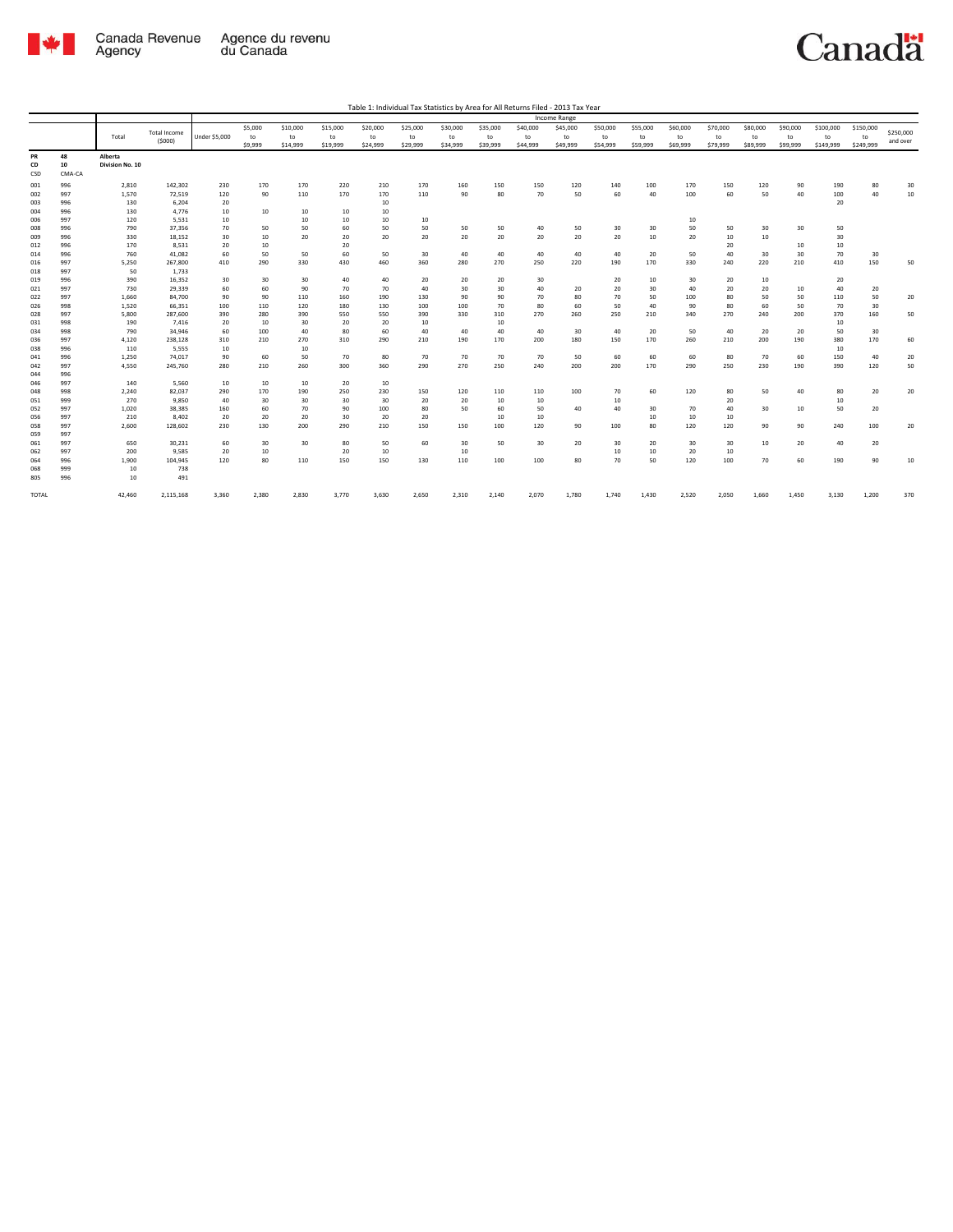

| Table 1: Individual Tax Statistics by Area for All Returns Filed - 2013 Tax Year |  |
|----------------------------------------------------------------------------------|--|

|                 |                    |                            |                               |                      |         |          |          |          |          |          |          |          | Income Range |          |          |          |          |          |          |           |           |           |
|-----------------|--------------------|----------------------------|-------------------------------|----------------------|---------|----------|----------|----------|----------|----------|----------|----------|--------------|----------|----------|----------|----------|----------|----------|-----------|-----------|-----------|
|                 |                    |                            |                               |                      | \$5,000 | \$10,000 | \$15,000 | \$20,000 | \$25,000 | \$30,000 | \$35,000 | \$40,000 | \$45,000     | \$50,000 | \$55,000 | \$60,000 | \$70,000 | \$80,000 | \$90,000 | \$100,000 | \$150,000 | \$250,000 |
|                 |                    | Total                      | <b>Total Income</b><br>(5000) | <b>Under \$5,000</b> | to      | to       | to       | to       | to       | to       | to       | to       | to           | to       | to       | to       | to       | to       | to       | to        | to        | and over  |
|                 |                    |                            |                               |                      | \$9,999 | \$14,999 | \$19,999 | \$24,999 | \$29,999 | \$34,999 | \$39,999 | \$44,999 | \$49,999     | \$54,999 | \$59,999 | \$69,999 | \$79,999 | \$89,999 | \$99,999 | \$149,999 | \$249,999 |           |
| PR<br>CD<br>CSD | 48<br>10<br>CMA-CA | Alberta<br>Division No. 10 |                               |                      |         |          |          |          |          |          |          |          |              |          |          |          |          |          |          |           |           |           |
| 001             | 996                | 2,810                      | 142,302                       | 230                  | 170     | 170      | 220      | 210      | 170      | 160      | 150      | 150      | 120          | 140      | 100      | 170      | 150      | 120      | 90       | 190       | 80        | 30        |
| 002             | 997                | 1,570                      | 72,519                        | 120                  | 90      | 110      | 170      | 170      | 110      | 90       | 80       | 70       | 50           | 60       | 40       | 100      | 60       | 50       | 40       | 100       | 40        | 10        |
| 003             | 996                | 130                        | 6,204                         | 20                   |         |          |          | 10       |          |          |          |          |              |          |          |          |          |          |          | 20        |           |           |
| 004             | 996                | 130                        | 4,776                         | 10                   | 10      | 10       | 10       | 10       |          |          |          |          |              |          |          |          |          |          |          |           |           |           |
| 006             | 997                | 120                        | 5.531                         | 10                   |         | 10       | 10       | 10       | 10       |          |          |          |              |          |          | 10       |          |          |          |           |           |           |
| 008             | 996                | 790                        | 37,356                        | 70                   | 50      | 50       | 60       | 50       | 50       | 50       | 50       | 40       | 50           | 30       | 30       | 50       | 50       | 30       | 30       | 50        |           |           |
| 009             | 996                | 330                        | 18,152                        | 30                   | $10\,$  | 20       | 20       | 20       | 20       | 20       | 20       | 20       | 20           | 20       | 10       | 20       | 10       | 10       |          | 30        |           |           |
| 012             | 996                | 170                        | 8,531                         | 20                   | 10      |          | 20       |          |          |          |          |          |              |          |          |          | 20       |          | 10       | 10        |           |           |
| 014             | 996                | 760                        | 41,082                        | 60                   | 50      | 50       | 60       | 50       | 30       | 40       | 40       | 40       | 40           | 40       | 20       | 50       | 40       | 30       | 30       | 70        | 30<br>150 |           |
| 016             | 997<br>997         | 5,250                      | 267,800                       | 410                  | 290     | 330      | 430      | 460      | 360      | 280      | 270      | 250      | 220          | 190      | 170      | 330      | 240      | 220      | 210      | 410       |           | 50        |
| 018<br>019      | 996                | 50<br>390                  | 1,733<br>16.352               | 30                   | 30      | 30       | 40       | 40       | 20       | 20       | 20       | 30       |              | 20       | 10       | 30       | 20       | 10       |          | 20        |           |           |
| 021             | 997                | 730                        | 29.339                        | 60                   | 60      | 90       | 70       | 70       | 40       | 30       | 30       | 40       | 20           | 20       | 30       | 40       | 20       | 20       | 10       | 40        | 20        |           |
| 022             | 997                | 1.660                      | 84,700                        | 90                   | 90      | 110      | 160      | 190      | 130      | 90       | 90       | 70       | 80           | 70       | 50       | 100      | 80       | 50       | 50       | 110       | 50        | 20        |
| 026             | 998                | 1,520                      | 66,351                        | 100                  | 110     | 120      | 180      | 130      | 100      | 100      | 70       | 80       | 60           | 50       | 40       | 90       | 80       | 60       | 50       | 70        | 30        |           |
| 028             | 997                | 5,800                      | 287,600                       | 390                  | 280     | 390      | 550      | 550      | 390      | 330      | 310      | 270      | 260          | 250      | 210      | 340      | 270      | 240      | 200      | 370       | 160       | 50        |
| 031             | 998                | 190                        | 7,416                         | 20                   | 10      | 30       | 20       | 20       | 10       |          | 10       |          |              |          |          |          |          |          |          | 10        |           |           |
| 034             | 998                | 790                        | 34,946                        | 60                   | 100     | 40       | 80       | 60       | 40       | 40       | 40       | 40       | 30           | 40       | 20       | 50       | 40       | 20       | 20       | 50        | 30        |           |
| 036             | 997                | 4,120                      | 238,128                       | 310                  | 210     | 270      | 310      | 290      | 210      | 190      | 170      | 200      | 180          | 150      | 170      | 260      | 210      | 200      | 190      | 380       | 170       | 60        |
| 038             | 996                | 110                        | 5,555                         | 10                   |         | 10       |          |          |          |          |          |          |              |          |          |          |          |          |          | 10        |           |           |
| 041             | 996                | 1,250                      | 74,017                        | 90                   | 60      | 50       | 70       | 80       | 70       | 70       | 70       | 70       | 50           | 60       | 60       | 60       | 80       | 70       | 60       | 150       | 40        | 20        |
| 042             | 997                | 4,550                      | 245,760                       | 280                  | 210     | 260      | 300      | 360      | 290      | 270      | 250      | 240      | 200          | 200      | 170      | 290      | 250      | 230      | 190      | 390       | 120       | 50        |
| 044             | 996                |                            |                               |                      |         |          |          |          |          |          |          |          |              |          |          |          |          |          |          |           |           |           |
| 046             | 997                | 140                        | 5,560                         | 10                   | 10      | 10       | 20       | 10       |          |          |          |          |              |          |          |          |          |          |          |           |           |           |
| 048             | 998                | 2,240                      | 82,037                        | 290                  | 170     | 190      | 250      | 230      | 150      | 120      | 110      | 110      | 100          | 70       | 60       | 120      | 80       | 50       | 40       | 80        | 20        | 20        |
| 051             | 999                | 270                        | 9,850                         | 40                   | 30      | 30       | 30       | 30       | 20       | 20       | 10       | 10       |              | 10       |          |          | 20       |          |          | 10        |           |           |
| 052             | 997                | 1,020                      | 38,385                        | 160                  | 60      | 70       | 90       | 100      | 80       | 50       | 60       | 50       | 40           | 40       | 30       | 70       | 40       | 30       | 10       | 50        | 20        |           |
| 056             | 997                | 210                        | 8,402                         | 20                   | 20      | 20       | 30       | 20       | 20       |          | 10       | 10       |              |          | $10\,$   | 10       | 10       |          |          |           |           |           |
| 058             | 997                | 2,600                      | 128,602                       | 230                  | 130     | 200      | 290      | 210      | 150      | 150      | 100      | 120      | 90           | 100      | 80       | 120      | 120      | 90       | 90       | 240       | 100       | 20        |
| 059             | 997                |                            |                               |                      |         |          |          |          |          |          |          |          |              |          |          |          |          |          |          |           |           |           |
| 061             | 997                | 650                        | 30,231                        | 60                   | 30      | 30       | 80       | 50       | 60       | 30       | 50       | 30       | 20           | 30       | 20       | 30       | 30       | 10       | 20       | 40        | 20        |           |
| 062             | 997                | 200                        | 9,585                         | 20                   | $10\,$  |          | 20       | 10       |          | 10       |          |          |              | 10       | $10\,$   | 20       | 10       |          |          |           |           |           |
| 064             | 996                | 1,900                      | 104,945                       | 120                  | 80      | 110      | 150      | 150      | 130      | 110      | 100      | 100      | 80           | 70       | 50       | 120      | 100      | 70       | 60       | 190       | 90        | 10        |
| 068             | 999                | 10                         | 738                           |                      |         |          |          |          |          |          |          |          |              |          |          |          |          |          |          |           |           |           |
| 805             | 996                | 10                         | 491                           |                      |         |          |          |          |          |          |          |          |              |          |          |          |          |          |          |           |           |           |
| TOTAL           |                    | 42,460                     | 2,115,168                     | 3,360                | 2,380   | 2,830    | 3,770    | 3,630    | 2,650    | 2,310    | 2,140    | 2,070    | 1,780        | 1,740    | 1,430    | 2,520    | 2,050    | 1,660    | 1,450    | 3,130     | 1,200     | 370       |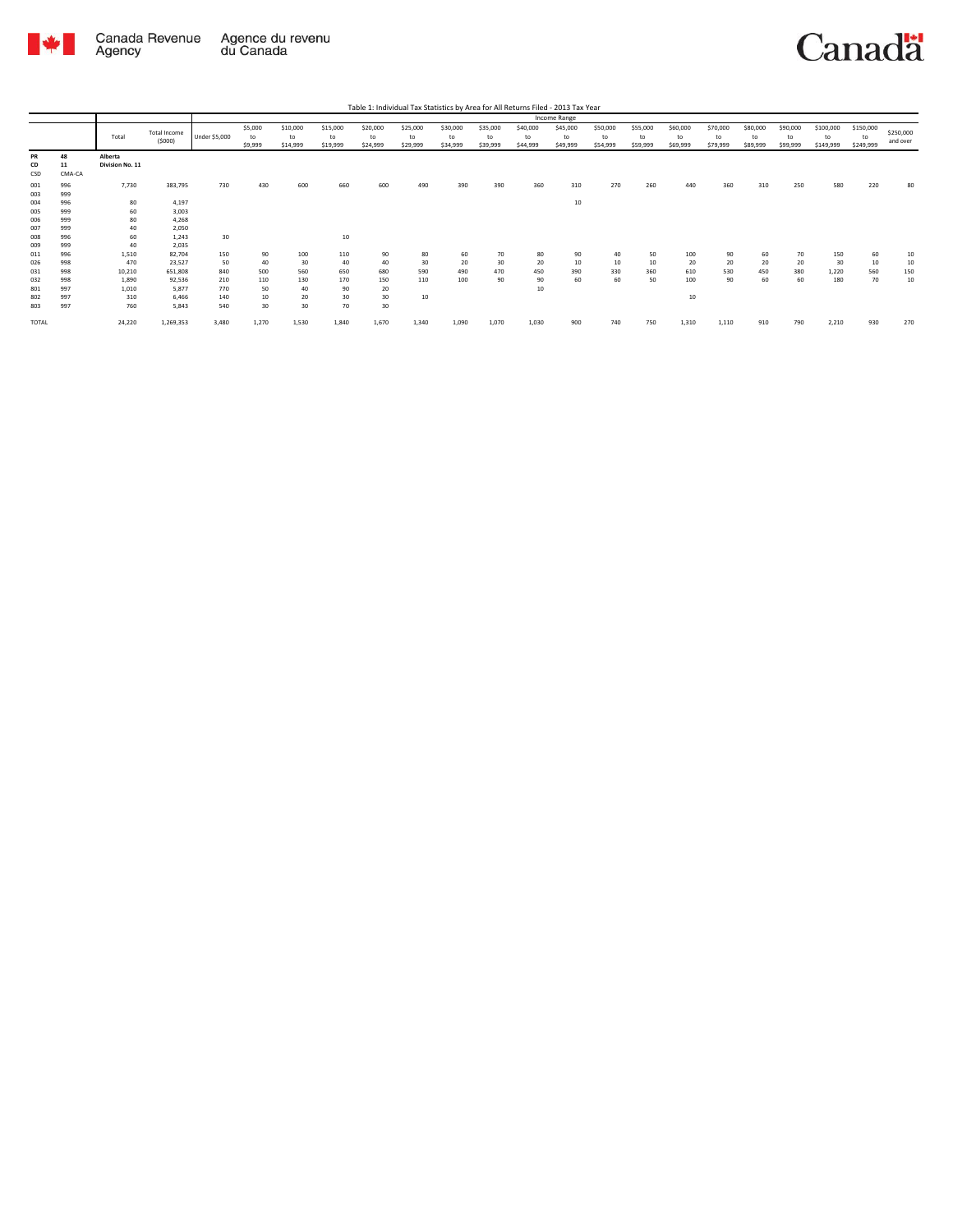

|                 |                    |                            |                               |               |                          |                            |                            |                            | Table 1: Individual Tax Statistics by Area for All Returns Filed - 2013 Tax Year |                            |                            |                            |                            |                            |                            |                            |                            |                            |                            |                              |                              |                       |
|-----------------|--------------------|----------------------------|-------------------------------|---------------|--------------------------|----------------------------|----------------------------|----------------------------|----------------------------------------------------------------------------------|----------------------------|----------------------------|----------------------------|----------------------------|----------------------------|----------------------------|----------------------------|----------------------------|----------------------------|----------------------------|------------------------------|------------------------------|-----------------------|
|                 |                    |                            |                               |               |                          |                            |                            |                            |                                                                                  |                            |                            |                            | Income Range               |                            |                            |                            |                            |                            |                            |                              |                              |                       |
|                 |                    | Total                      | <b>Total Income</b><br>(5000) | Under \$5,000 | \$5,000<br>to<br>\$9,999 | \$10,000<br>to<br>\$14,999 | \$15,000<br>to<br>\$19,999 | \$20,000<br>to<br>\$24,999 | \$25,000<br>to<br>\$29,999                                                       | \$30,000<br>to<br>\$34,999 | \$35,000<br>to<br>\$39,999 | \$40,000<br>to<br>\$44,999 | \$45,000<br>to<br>\$49,999 | \$50,000<br>to<br>\$54,999 | \$55,000<br>to<br>\$59,999 | \$60,000<br>to<br>\$69,999 | \$70,000<br>to<br>\$79,999 | \$80,000<br>to<br>\$89,999 | \$90,000<br>to<br>\$99,999 | \$100,000<br>to<br>\$149,999 | \$150,000<br>to<br>\$249,999 | \$250,000<br>and over |
| PR<br>CD<br>CSD | 48<br>11<br>CMA-CA | Alberta<br>Division No. 11 |                               |               |                          |                            |                            |                            |                                                                                  |                            |                            |                            |                            |                            |                            |                            |                            |                            |                            |                              |                              |                       |
| 001<br>003      | 996<br>999         | 7,730                      | 383,795                       | 730           | 430                      | 600                        | 660                        | 600                        | 490                                                                              | 390                        | 390                        | 360                        | 310                        | 270                        | 260                        | 440                        | 360                        | 310                        | 250                        | 580                          | 220                          | 80                    |
| 004             | 996                | 80                         | 4,197                         |               |                          |                            |                            |                            |                                                                                  |                            |                            |                            | 10                         |                            |                            |                            |                            |                            |                            |                              |                              |                       |
| 005             | 999                | 60                         | 3,003                         |               |                          |                            |                            |                            |                                                                                  |                            |                            |                            |                            |                            |                            |                            |                            |                            |                            |                              |                              |                       |
| 006             | 999                | 80                         | 4,268                         |               |                          |                            |                            |                            |                                                                                  |                            |                            |                            |                            |                            |                            |                            |                            |                            |                            |                              |                              |                       |
| 007             | 999                | 40                         | 2,050                         |               |                          |                            |                            |                            |                                                                                  |                            |                            |                            |                            |                            |                            |                            |                            |                            |                            |                              |                              |                       |
| 008             | 996                | 60                         | 1.243                         | 30            |                          |                            | 10                         |                            |                                                                                  |                            |                            |                            |                            |                            |                            |                            |                            |                            |                            |                              |                              |                       |
| 009             | 999                | 40                         | 2,035                         |               |                          |                            |                            |                            |                                                                                  |                            |                            |                            |                            |                            |                            |                            |                            |                            |                            |                              |                              |                       |
| 011             | 996                | 1,510                      | 82,704                        | 150           | 90                       | 100                        | 110                        | 90                         | 80                                                                               | 60                         | 70                         | 80                         | 90                         | 40                         | 50                         | 100                        | 90                         | 60                         | 70                         | 150                          | 60                           | 10                    |
| 026             | 998                | 470                        | 23,527                        | 50            | 40                       | 30                         | 40                         | 40                         | 30                                                                               | 20                         | 30                         | 20                         | 10                         | 10                         | 10                         | 20                         | 20                         | 20                         | 20                         | 30                           | 10                           | 10                    |
| 031             | 998                | 10,210                     | 651.808                       | 840           | 500                      | 560                        | 650                        | 680                        | 590                                                                              | 490                        | 470                        | 450                        | 390                        | 330                        | 360                        | 610                        | 530                        | 450                        | 380                        | 1,220                        | 560                          | 150                   |
| 032             | 998                | 1,890                      | 92,536                        | 210           | 110                      | 130                        | 170                        | 150                        | 110                                                                              | 100                        | 90                         | 90                         | 60                         | 60                         | 50                         | 100                        | 90                         | 60                         | 60                         | 180                          | 70                           | 10                    |
| 801             | 997                | 1,010                      | 5.877                         | 770           | 50                       | 40                         | 90                         | 20                         |                                                                                  |                            |                            | 10                         |                            |                            |                            |                            |                            |                            |                            |                              |                              |                       |
| 802             | 997                | 310                        | 6.466                         | 140           | 10                       | 20                         | 30                         | 30                         | 10                                                                               |                            |                            |                            |                            |                            |                            | 10                         |                            |                            |                            |                              |                              |                       |
| 803             | 997                | 760                        | 5.843                         | 540           | 30                       | 30                         | 70                         | 30                         |                                                                                  |                            |                            |                            |                            |                            |                            |                            |                            |                            |                            |                              |                              |                       |
| <b>TOTAL</b>    |                    | 24,220                     | 1,269,353                     | 3,480         | 1,270                    | 1,530                      | 1,840                      | 1,670                      | 1,340                                                                            | 1,090                      | 1,070                      | 1,030                      | 900                        | 740                        | 750                        | 1,310                      | 1,110                      | 910                        | 790                        | 2,210                        | 930                          | 270                   |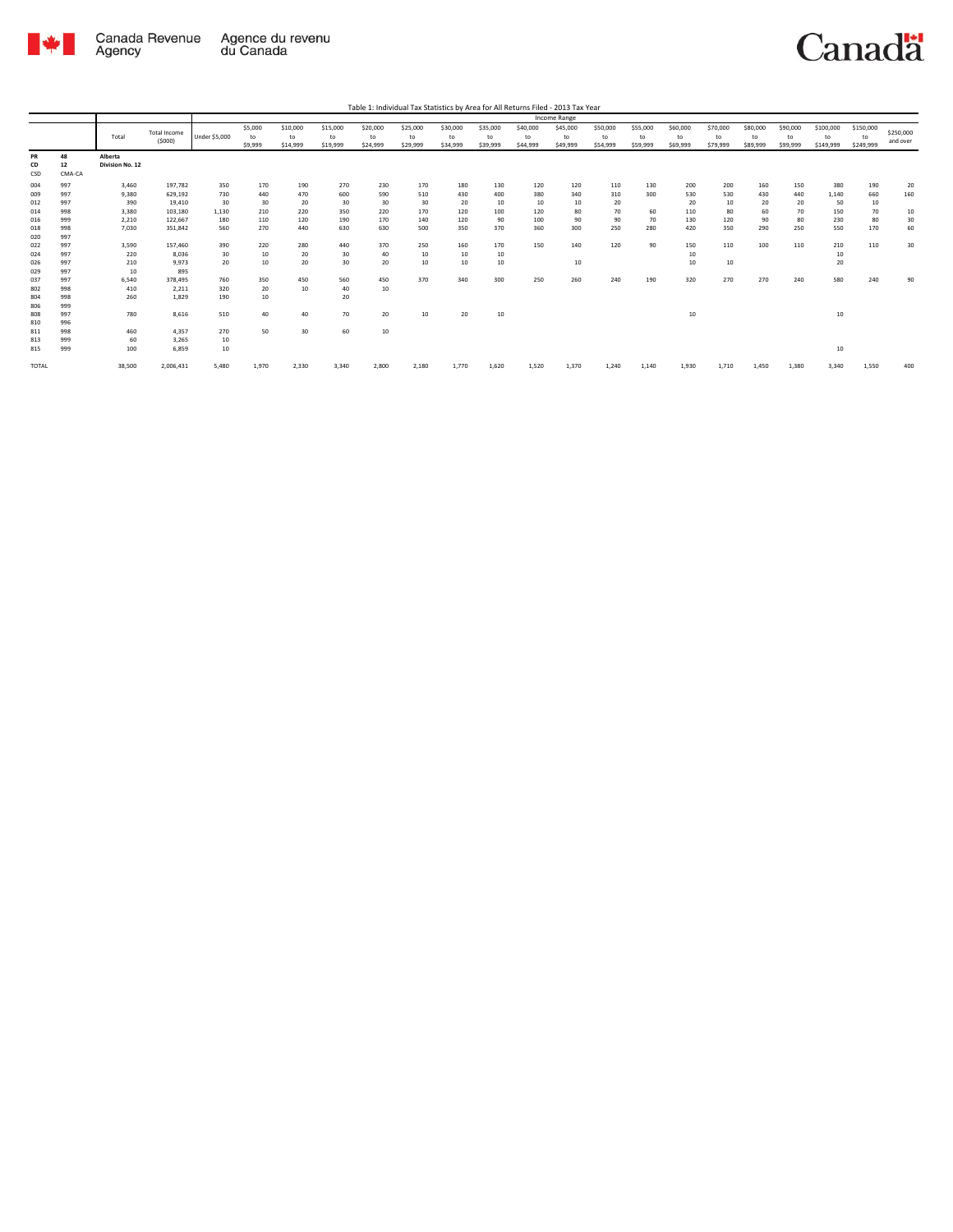

|              |        |                 |                     |                      |         |          |          | Table 1: Individual Tax Statistics by Area for All Returns Filed - 2013 Tax Year |          |          |          |          |              |          |          |          |          |          |          |           |           |           |
|--------------|--------|-----------------|---------------------|----------------------|---------|----------|----------|----------------------------------------------------------------------------------|----------|----------|----------|----------|--------------|----------|----------|----------|----------|----------|----------|-----------|-----------|-----------|
|              |        |                 |                     |                      |         |          |          |                                                                                  |          |          |          |          | Income Range |          |          |          |          |          |          |           |           |           |
|              |        |                 | <b>Total Income</b> |                      | \$5,000 | \$10,000 | \$15,000 | \$20,000                                                                         | \$25,000 | \$30,000 | \$35,000 | \$40,000 | \$45,000     | \$50,000 | \$55,000 | \$60,000 | \$70,000 | \$80,000 | \$90,000 | \$100,000 | \$150,000 | \$250,000 |
|              |        | Total           | (5000)              | <b>Under \$5,000</b> | to      | to       | to       | to                                                                               | to       | to       | to       | to       | to           | to       | to       | to       | to       | to       | to       | to        | to        |           |
|              |        |                 |                     |                      | \$9,999 | \$14,999 | \$19,999 | \$24,999                                                                         | \$29,999 | \$34,999 | \$39,999 | \$44,999 | \$49,999     | \$54,999 | \$59,999 | \$69,999 | \$79,999 | \$89,999 | \$99,999 | \$149,999 | \$249,999 | and over  |
| PR           | 48     | Alberta         |                     |                      |         |          |          |                                                                                  |          |          |          |          |              |          |          |          |          |          |          |           |           |           |
| CD           | 12     | Division No. 12 |                     |                      |         |          |          |                                                                                  |          |          |          |          |              |          |          |          |          |          |          |           |           |           |
| CSD          | CMA-CA |                 |                     |                      |         |          |          |                                                                                  |          |          |          |          |              |          |          |          |          |          |          |           |           |           |
| 004          | 997    | 3,460           | 197,782             | 350                  | 170     | 190      | 270      | 230                                                                              | 170      | 180      | 130      | 120      | 120          | 110      | 130      | 200      | 200      | 160      | 150      | 380       | 190       | 20        |
| 009          | 997    | 9,380           | 629,192             | 730                  | 440     | 470      | 600      | 590                                                                              | 510      | 430      | 400      | 380      | 340          | 310      | 300      | 530      | 530      | 430      | 440      | 1,140     | 660       | 160       |
| 012          | 997    | 390             | 19,410              | 30                   | 30      | 20       | 30       | 30                                                                               | 30       | 20       | 10       | 10       | 10           | 20       |          | 20       | 10       | 20       | 20       | 50        | 10        |           |
| 014          | 998    | 3,380           | 103,180             | 1,130                | 210     | 220      | 350      | 220                                                                              | 170      | 120      | 100      | 120      | 80           | 70       | 60       | 110      | 80       | 60       | 70       | 150       | 70        | $10$      |
| 016          | 999    | 2,210           | 122,667             | 180                  | 110     | 120      | 190      | 170                                                                              | 140      | 120      | 90       | 100      | 90           | 90       | 70       | 130      | 120      | 90       | 80       | 230       | 80        | 30        |
| 018          | 998    | 7,030           | 351,842             | 560                  | 270     | 440      | 630      | 630                                                                              | 500      | 350      | 370      | 360      | 300          | 250      | 280      | 420      | 350      | 290      | 250      | 550       | 170       | 60        |
| 020          | 997    |                 |                     |                      |         |          |          |                                                                                  |          |          |          |          |              |          |          |          |          |          |          |           |           |           |
| 022          | 997    | 3,590           | 157,460             | 390                  | 220     | 280      | 440      | 370                                                                              | 250      | 160      | 170      | 150      | 140          | 120      | 90       | 150      | 110      | 100      | 110      | 210       | 110       | 30        |
| 024          | 997    | 220             | 8,036               | 30                   | 10      | 20       | 30       | 40                                                                               | 10       | 10       | 10       |          |              |          |          | 10       |          |          |          | 10        |           |           |
| 026          | 997    | 210             | 9,973               | 20                   | 10      | 20       | 30       | 20                                                                               | 10       | 10       | 10       |          | 10           |          |          | 10       | 10       |          |          | 20        |           |           |
| 029          | 997    | 10              | 895                 |                      |         |          |          |                                                                                  |          |          |          |          |              |          |          |          |          |          |          |           |           |           |
| 037          | 997    | 6,540           | 378,495             | 760                  | 350     | 450      | 560      | 450                                                                              | 370      | 340      | 300      | 250      | 260          | 240      | 190      | 320      | 270      | 270      | 240      | 580       | 240       | 90        |
| 802          | 998    | 410             | 2,211               | 320                  | 20      | 10       | 40       | 10                                                                               |          |          |          |          |              |          |          |          |          |          |          |           |           |           |
| 804          | 998    | 260             | 1,829               | 190                  | 10      |          | 20       |                                                                                  |          |          |          |          |              |          |          |          |          |          |          |           |           |           |
| 806          | 999    |                 |                     |                      |         |          |          |                                                                                  |          |          |          |          |              |          |          |          |          |          |          |           |           |           |
| 808          | 997    | 780             | 8,616               | 510                  | 40      | 40       | 70       | 20                                                                               | 10       | 20       | 10       |          |              |          |          | 10       |          |          |          | 10        |           |           |
| 810          | 996    |                 |                     |                      |         |          |          |                                                                                  |          |          |          |          |              |          |          |          |          |          |          |           |           |           |
| 811          | 998    | 460             | 4,357               | 270                  | 50      | 30       | 60       | 10                                                                               |          |          |          |          |              |          |          |          |          |          |          |           |           |           |
| 813          | 999    | 60              | 3,265               | 10                   |         |          |          |                                                                                  |          |          |          |          |              |          |          |          |          |          |          |           |           |           |
| 815          | 999    | 100             | 6,859               | $10\,$               |         |          |          |                                                                                  |          |          |          |          |              |          |          |          |          |          |          | 10        |           |           |
| <b>TOTAL</b> |        | 38,500          | 2,006,431           | 5,480                | 1,970   | 2,330    | 3,340    | 2,800                                                                            | 2,180    | 1,770    | 1,620    | 1,520    | 1,370        | 1.240    | 1,140    | 1,930    | 1,710    | 1,450    | 1,380    | 3.340     | 1,550     | 400       |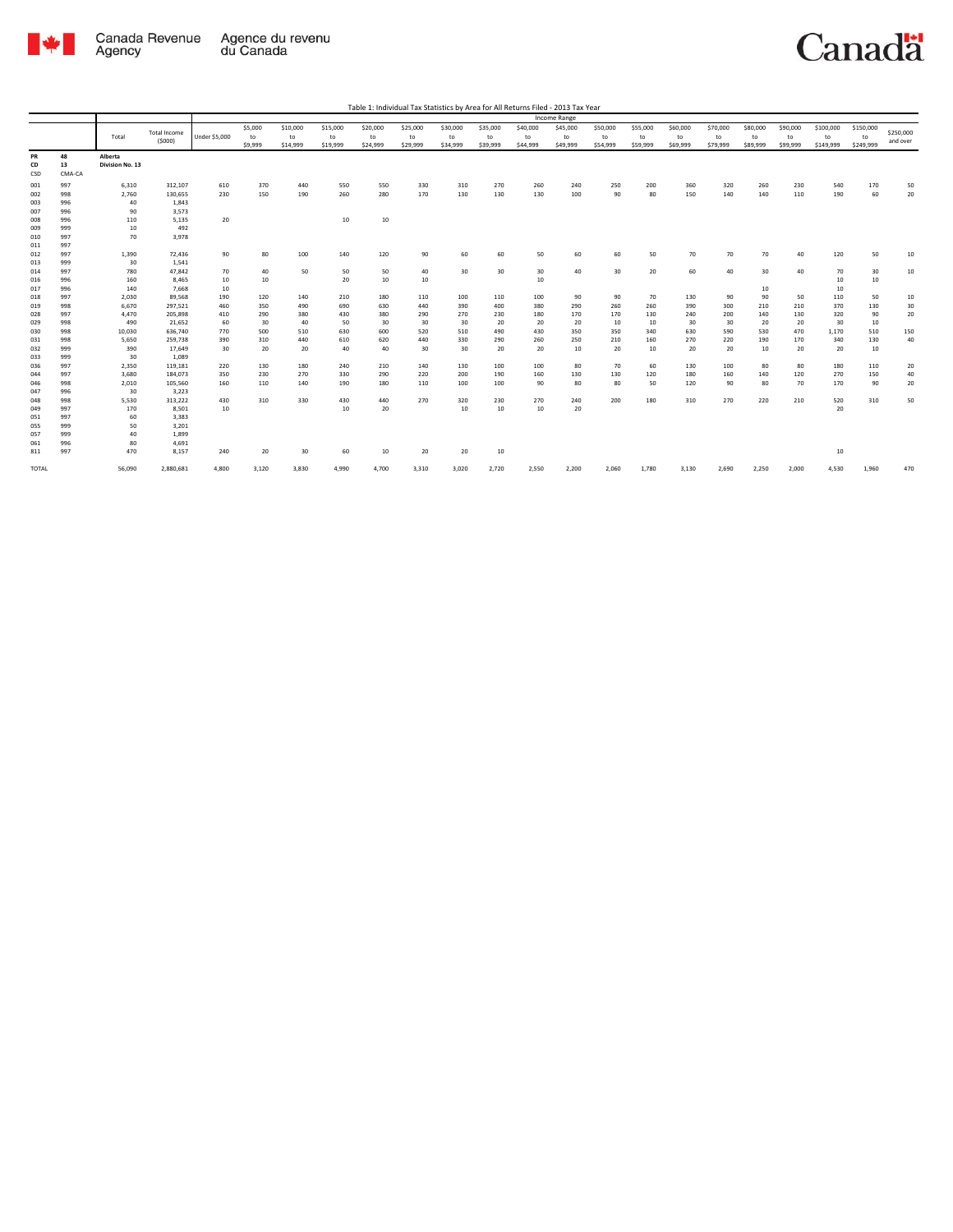

| Table 1: Individual Tax Statistics by Area for All Returns Filed - 2013 Tax Year |
|----------------------------------------------------------------------------------|
| Income Range                                                                     |

|                 |                    |                            |                     |                      |               |                |                |                |                |                |                |                | Income Range   |                |                |                |                |                |                |                 |                 |           |
|-----------------|--------------------|----------------------------|---------------------|----------------------|---------------|----------------|----------------|----------------|----------------|----------------|----------------|----------------|----------------|----------------|----------------|----------------|----------------|----------------|----------------|-----------------|-----------------|-----------|
|                 |                    | Total                      | <b>Total Income</b> | <b>Under \$5,000</b> | \$5,000<br>to | \$10,000<br>to | \$15,000<br>to | \$20,000<br>to | \$25,000<br>to | \$30,000<br>to | \$35,000<br>to | \$40,000<br>to | \$45,000<br>to | \$50,000<br>to | \$55,000<br>to | \$60,000<br>to | \$70,000<br>to | \$80,000<br>to | \$90,000<br>to | \$100,000<br>to | \$150,000<br>to | \$250,000 |
|                 |                    |                            | (5000)              |                      | \$9,999       | \$14,999       | \$19,999       | \$24,999       | \$29,999       | \$34,999       | \$39,999       | \$44,999       | \$49,999       | \$54,999       | \$59,999       | \$69,999       | \$79,999       | \$89,999       | \$99,999       | \$149,999       | \$249,999       | and over  |
| PR<br>CD<br>CSD | 48<br>13<br>CMA-CA | Alberta<br>Division No. 13 |                     |                      |               |                |                |                |                |                |                |                |                |                |                |                |                |                |                |                 |                 |           |
| 001             | 997                | 6,310                      | 312,107             | 610                  | 370           | 440            | 550            | 550            | 330            | 310            | 270            | 260            | 240            | 250            | 200            | 360            | 320            | 260            | 230            | 540             | 170             | 50        |
| 002             | 998                | 2,760                      | 130,655             | 230                  | 150           | 190            | 260            | 280            | 170            | 130            | 130            | 130            | 100            | 90             | 80             | 150            | 140            | 140            | 110            | 190             | 60              | 20        |
| 003             | 996                | 40                         | 1,843               |                      |               |                |                |                |                |                |                |                |                |                |                |                |                |                |                |                 |                 |           |
| 007             | 996                | 90                         | 3,573               |                      |               |                |                |                |                |                |                |                |                |                |                |                |                |                |                |                 |                 |           |
| 008             | 996                | 110                        | 5,135               | 20                   |               |                | 10             | 10             |                |                |                |                |                |                |                |                |                |                |                |                 |                 |           |
| 009             | 999                | 10                         | 492                 |                      |               |                |                |                |                |                |                |                |                |                |                |                |                |                |                |                 |                 |           |
| 010             | 997                | 70                         | 3,978               |                      |               |                |                |                |                |                |                |                |                |                |                |                |                |                |                |                 |                 |           |
| 011             | 997                |                            |                     |                      |               |                |                |                |                |                |                |                |                |                |                |                |                |                |                |                 |                 |           |
| 012             | 997                | 1,390                      | 72,436              | 90                   | 80            | 100            | 140            | 120            | 90             | 60             | 60             | 50             | 60             | 60             | 50             | 70             | 70             | 70             | 40             | 120             | 50              | 10        |
| 013             | 999                | 30                         | 1,541               |                      |               |                |                |                |                |                |                |                |                |                |                |                |                |                |                |                 |                 |           |
| 014             | 997                | 780                        | 47,842              | 70                   | 40            | 50             | 50             | 50             | 40             | 30             | 30             | 30             | 40             | 30             | 20             | 60             | 40             | 30             | 40             | 70              | 30              | 10        |
| 016             | 996                | 160                        | 8,465               | 10                   | 10            |                | 20             | 10             | 10             |                |                | 10             |                |                |                |                |                |                |                | 10              | 10              |           |
| 017             | 996                | 140                        | 7,668               | 10                   |               |                |                |                |                |                |                |                |                |                |                |                |                | 10             |                | 10              |                 |           |
| 018             | 997                | 2,030                      | 89,568              | 190                  | 120           | 140            | 210            | 180            | 110            | 100            | 110            | 100            | 90             | 90             | 70             | 130            | 90             | 90             | 50             | 110             | 50              | $10$      |
| 019             | 998                | 6,670                      | 297,521             | 460                  | 350           | 490            | 690            | 630            | 440            | 390            | 400            | 380            | 290            | 260            | 260            | 390            | 300            | 210            | 210            | 370             | 130             | 30        |
| 028<br>029      | 997<br>998         | 4,470<br>490               | 205,898<br>21,652   | 410<br>60            | 290<br>30     | 380<br>40      | 430<br>50      | 380<br>30      | 290<br>30      | 270<br>30      | 230<br>20      | 180<br>20      | 170<br>20      | 170<br>10      | 130<br>10      | 240<br>30      | 200<br>30      | 140<br>20      | 130<br>20      | 320<br>30       | 90<br>10        | 20        |
| 030             | 998                | 10,030                     | 636,740             | 770                  | 500           | 510            | 630            | 600            | 520            | 510            | 490            | 430            | 350            | 350            | 340            | 630            | 590            | 530            | 470            | 1,170           | 510             | 150       |
| 031             | 998                | 5,650                      | 259,738             | 390                  | 310           | 440            | 610            | 620            | 440            | 330            | 290            | 260            | 250            | 210            | 160            | 270            | 220            | 190            | 170            | 340             | 130             | 40        |
| 032             | 999                | 390                        | 17,649              | 30                   | 20            | 20             | 40             | 40             | 30             | 30             | 20             | 20             | 10             | 20             | 10             | 20             | 20             | 10             | 20             | 20              | 10              |           |
| 033             | 999                | 30                         | 1,089               |                      |               |                |                |                |                |                |                |                |                |                |                |                |                |                |                |                 |                 |           |
| 036             | 997                | 2,350                      | 119,181             | 220                  | 130           | 180            | 240            | 210            | 140            | 130            | 100            | 100            | 80             | 70             | 60             | 130            | 100            | 80             | 80             | 180             | 110             | 20        |
| 044             | 997                | 3,680                      | 184,073             | 350                  | 230           | 270            | 330            | 290            | 220            | 200            | 190            | 160            | 130            | 130            | 120            | 180            | 160            | 140            | 120            | 270             | 150             | 40        |
| 046             | 998                | 2,010                      | 105,560             | 160                  | 110           | 140            | 190            | 180            | 110            | 100            | 100            | 90             | 80             | 80             | 50             | 120            | 90             | 80             | 70             | 170             | 90              | 20        |
| 047             | 996                | 30                         | 3,223               |                      |               |                |                |                |                |                |                |                |                |                |                |                |                |                |                |                 |                 |           |
| 048             | 998                | 5,530                      | 313,222             | 430                  | 310           | 330            | 430            | 440            | 270            | 320            | 230            | 270            | 240            | 200            | 180            | 310            | 270            | 220            | 210            | 520             | 310             | 50        |
| 049             | 997                | 170                        | 8,501               | 10                   |               |                | 10             | 20             |                | 10             | 10             | 10             | 20             |                |                |                |                |                |                | 20              |                 |           |
| 051             | 997                | 60                         | 3,383               |                      |               |                |                |                |                |                |                |                |                |                |                |                |                |                |                |                 |                 |           |
| 055             | 999                | 50                         | 3,201               |                      |               |                |                |                |                |                |                |                |                |                |                |                |                |                |                |                 |                 |           |
| 057             | 999                | 40                         | 1,899               |                      |               |                |                |                |                |                |                |                |                |                |                |                |                |                |                |                 |                 |           |
| 061             | 996                | 80                         | 4,691               |                      |               |                |                |                |                |                |                |                |                |                |                |                |                |                |                |                 |                 |           |
| 811             | 997                | 470                        | 8,157               | 240                  | 20            | 30             | 60             | 10             | 20             | 20             | 10             |                |                |                |                |                |                |                |                | 10              |                 |           |
| TOTAL           |                    | 56,090                     | 2,880,681           | 4,800                | 3,120         | 3,830          | 4,990          | 4,700          | 3,310          | 3,020          | 2,720          | 2,550          | 2,200          | 2,060          | 1,780          | 3,130          | 2,690          | 2,250          | 2,000          | 4,530           | 1,960           | 470       |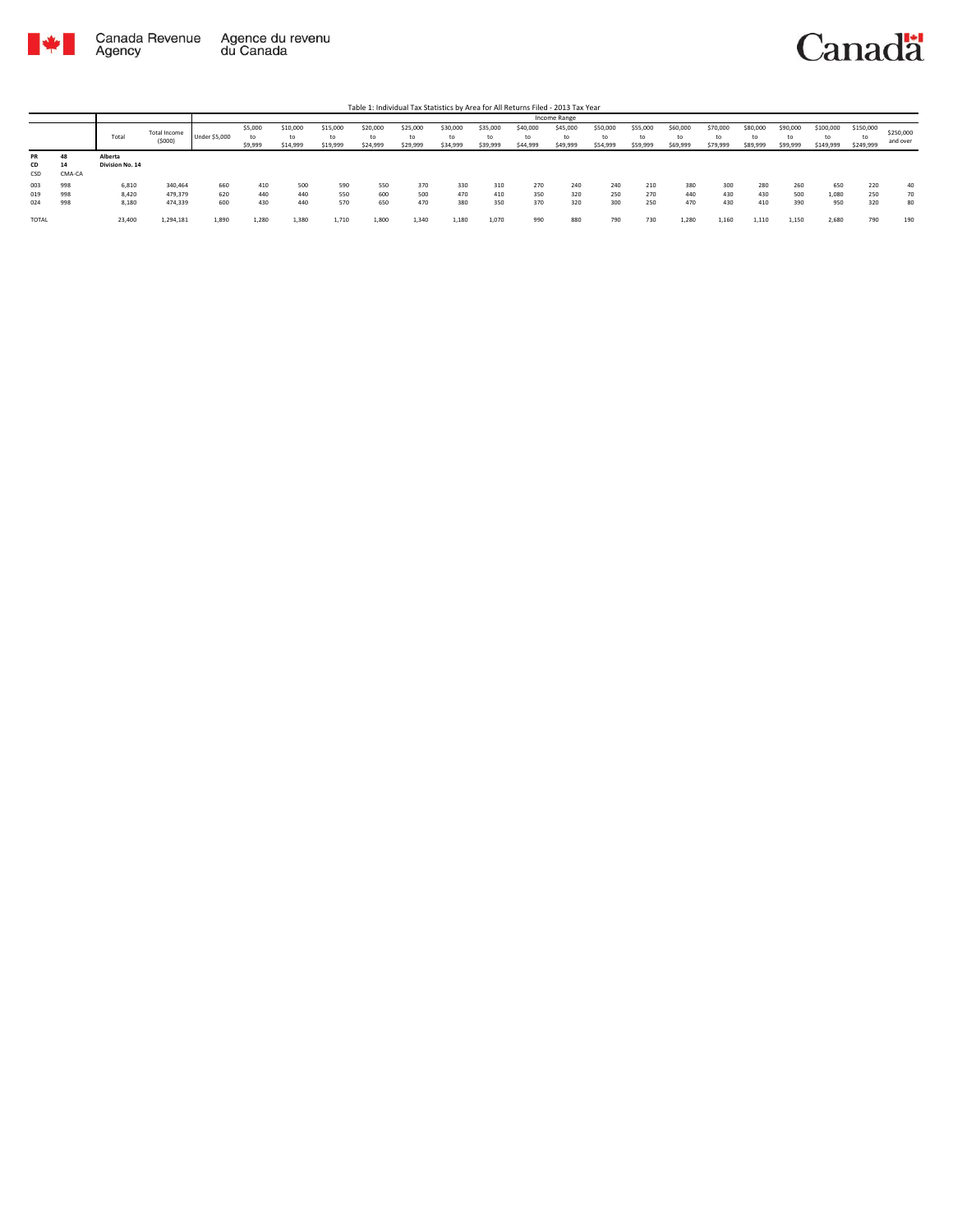

|                 |                    |                            |                        |                      |                          |                            |                            |                            |                            |                            |                            |                            | Income Range         |                            |                            |                            |                            |                            |                            |                              |                             |                       |
|-----------------|--------------------|----------------------------|------------------------|----------------------|--------------------------|----------------------------|----------------------------|----------------------------|----------------------------|----------------------------|----------------------------|----------------------------|----------------------|----------------------------|----------------------------|----------------------------|----------------------------|----------------------------|----------------------------|------------------------------|-----------------------------|-----------------------|
|                 |                    | Total                      | Total Income<br>(5000) | <b>Under \$5,000</b> | \$5,000<br>to<br>\$9,999 | \$10,000<br>to<br>\$14,999 | \$15,000<br>tΩ<br>\$19,999 | \$20,000<br>to<br>\$24,999 | \$25,000<br>to<br>\$29,999 | \$30,000<br>to<br>\$34,999 | \$35,000<br>to<br>\$39,999 | \$40,000<br>to<br>\$44,999 | \$45,000<br>\$49,999 | \$50,000<br>to<br>\$54,999 | \$55,000<br>to<br>\$59,999 | \$60,000<br>to<br>\$69,999 | \$70,000<br>to<br>\$79,999 | \$80,000<br>to<br>\$89,999 | \$90,000<br>to<br>\$99,999 | \$100,000<br>to<br>\$149,999 | \$150,000<br>t<br>\$249,999 | \$250,000<br>and over |
| PR<br>CD<br>CSD | 48<br>14<br>CMA-CA | Alberta<br>Division No. 14 |                        |                      |                          |                            |                            |                            |                            |                            |                            |                            |                      |                            |                            |                            |                            |                            |                            |                              |                             |                       |
| 003             | 998                | 6,810                      | 340,464                | 660                  | 410                      | 500                        | 590                        | 550                        | 370                        | 330                        | 310                        | 270                        | 240                  | 240                        | 210                        | 380                        | 300                        | 280                        | 260                        | 650                          | 220                         | 40                    |
| 019             | 998                | 8,420                      | 479,379                | 620                  | 440                      | 440                        | 550                        | 600                        | 500                        | 470                        | 410                        | 350                        | 320                  | 250                        | 270                        | 440                        | 430                        | 430                        | 500                        | 1,080                        | 250                         | 70                    |
| 024             | 998                | 8,180                      | 474,339                | 600                  | 430                      | 440                        | 570                        | 650                        | 470                        | 380                        | 350                        | 370                        | 320                  | 300                        | 250                        | 470                        | 430                        | 410                        | 390                        | 950                          | 320                         | 80                    |
| TOTAL           |                    | 23,400                     | 1,294,181              | 1,890                | 1,280                    | 1,380                      | 1,710                      | 1,800                      | 1,340                      | 1,180                      | 1,070                      | 990                        | 880                  | 790                        | 730                        | 1,280                      | 1,160                      | 1,110                      | 1,150                      | 2,680                        | 790                         | 190                   |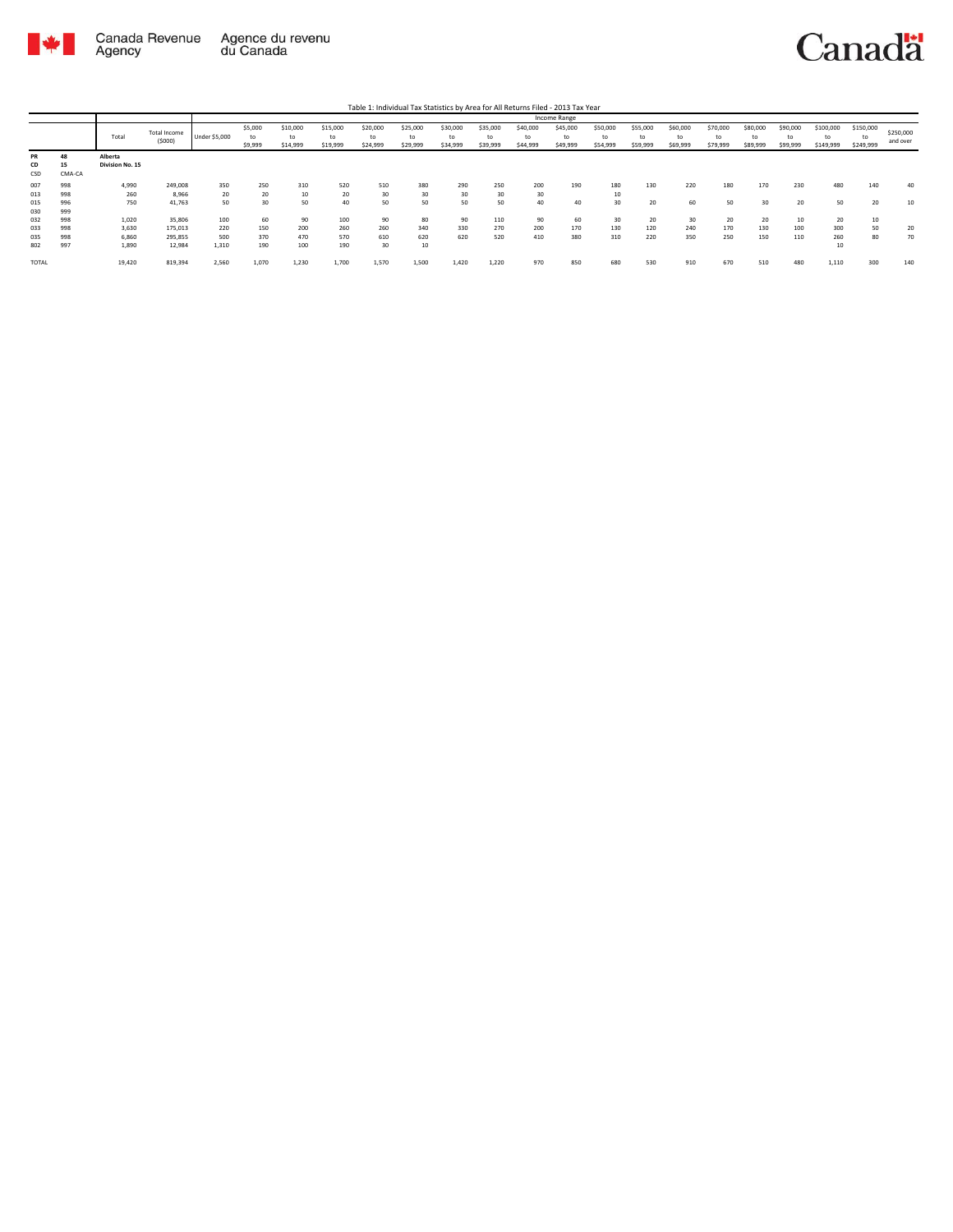

Table 1: Individual Tax Statistics by Area for All Returns Filed - 2013 Tax Year

|              |        |                 |              |               |         |          |          |          |          |          |          |          | Income Range |          |          |          |          |          |          |                |           |           |
|--------------|--------|-----------------|--------------|---------------|---------|----------|----------|----------|----------|----------|----------|----------|--------------|----------|----------|----------|----------|----------|----------|----------------|-----------|-----------|
|              |        |                 | Total Income |               | \$5,000 | \$10,000 | \$15,000 | \$20,000 | \$25,000 | \$30,000 | \$35,000 | \$40,000 | \$45,000     | \$50,000 | \$55,000 | \$60,000 | \$70,000 | \$80,000 | \$90,000 | \$100,000      | \$150,000 | \$250,000 |
|              |        | Total           | (5000)       | Under \$5,000 | to      | to       | to       | to       | to       | to       | to       | to       | to           | to       | to       | to       | to       | to       | to       | t <sub>0</sub> | to        | and over  |
|              |        |                 |              |               | \$9,999 | \$14,999 | \$19,999 | \$24,999 | \$29,999 | \$34,999 | \$39,999 | \$44,999 | \$49,999     | \$54,999 | \$59,999 | \$69,999 | \$79,999 | \$89,999 | \$99,999 | \$149,999      | \$249,999 |           |
| PR           | 48     | Alberta         |              |               |         |          |          |          |          |          |          |          |              |          |          |          |          |          |          |                |           |           |
| CD           | 15     | Division No. 15 |              |               |         |          |          |          |          |          |          |          |              |          |          |          |          |          |          |                |           |           |
| CSD          | CMA-CA |                 |              |               |         |          |          |          |          |          |          |          |              |          |          |          |          |          |          |                |           |           |
| 007          | 998    | 4,990           | 249,008      | 350           | 250     | 310      | 520      | 510      | 380      | 290      | 250      | 200      | 190          | 180      | 130      | 220      | 180      | 170      | 230      | 480            | 140       | 40        |
| 013          | 998    | 260             | 8,966        | 20            | 20      | 10       | 20       | 30       | 30       | 30       | 30       | 30       |              | 10       |          |          |          |          |          |                |           |           |
| 015          | 996    | 750             | 41,763       | 50            | 30      | 50       | 40       | 50       | 50       | 50       | 50       | 40       | 40           | 30       | 20       | 60       | 50       | 30       | 20       | 50             | 20        | 10        |
| 030          | 999    |                 |              |               |         |          |          |          |          |          |          |          |              |          |          |          |          |          |          |                |           |           |
| 032          | 998    | 1,020           | 35,806       | 100           | 60      | 90       | 100      | 90       | 80       | 90       | 110      | 90       | 60           | 30       | 20       | 30       | 20       | 20       | 10       | 20             | 10        |           |
| 033          | 998    | 3,630           | 175,013      | 220           | 150     | 200      | 260      | 260      | 340      | 330      | 270      | 200      | 170          | 130      | 120      | 240      | 170      | 130      | 100      | 300            | 50        | 20        |
| 035          | 998    | 6,860           | 295,855      | 500           | 370     | 470      | 570      | 610      | 620      | 620      | 520      | 410      | 380          | 310      | 220      | 350      | 250      | 150      | 110      | 260            | 80        | 70        |
| 802          | 997    | 1,890           | 12,984       | 1,310         | 190     | 100      | 190      | 30       | 10       |          |          |          |              |          |          |          |          |          |          | 10             |           |           |
| <b>TOTAL</b> |        | 19,420          | 819,394      | 2,560         | 1,070   | 1,230    | 1,700    | 1,570    | 1,500    | 1,420    | 1,220    | 970      | 850          | 680      | 530      | 910      | 670      | 510      | 480      | 1,110          | 300       | 140       |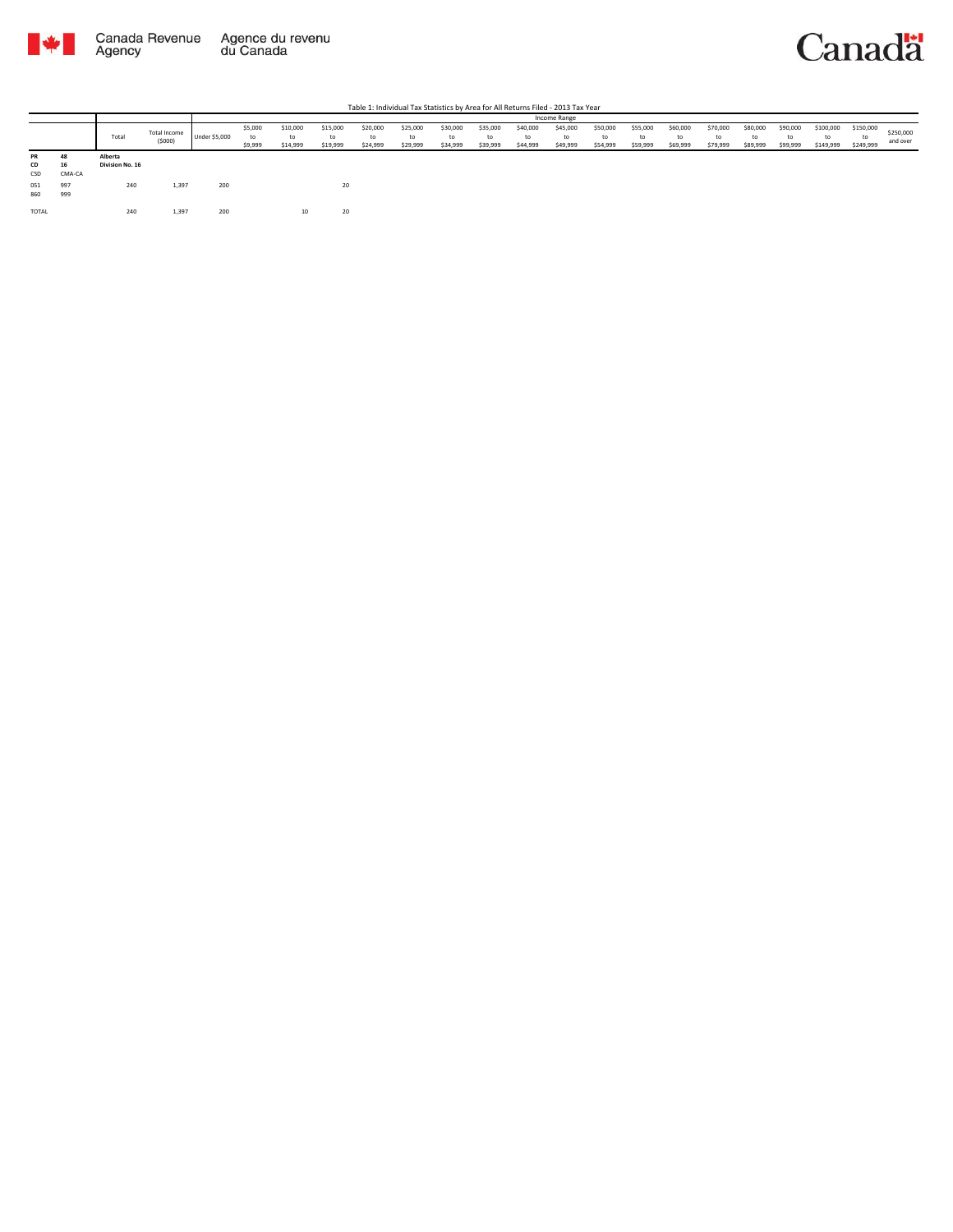

|                 |                    |                            |                        |                      |                          |                            |                            |                            |                            |                            |                            |                            | Income Range               |                            |                            |                            |                            |                            |                            |                              |                              |                       |
|-----------------|--------------------|----------------------------|------------------------|----------------------|--------------------------|----------------------------|----------------------------|----------------------------|----------------------------|----------------------------|----------------------------|----------------------------|----------------------------|----------------------------|----------------------------|----------------------------|----------------------------|----------------------------|----------------------------|------------------------------|------------------------------|-----------------------|
|                 |                    | Total                      | Total Income<br>(5000) | <b>Under \$5,000</b> | \$5,000<br>to<br>\$9,999 | \$10,000<br>to<br>\$14,999 | \$15,000<br>to<br>\$19,999 | \$20,000<br>to<br>\$24,999 | \$25,000<br>to<br>\$29,999 | \$30,000<br>to<br>\$34,999 | \$35,000<br>to<br>\$39,999 | \$40,000<br>to<br>\$44,999 | \$45,000<br>to<br>\$49,999 | \$50,000<br>to<br>\$54,999 | \$55,000<br>to<br>\$59,999 | \$60,000<br>to<br>\$69,999 | \$70,000<br>to<br>\$79,999 | \$80,000<br>to<br>\$89,999 | \$90,000<br>to<br>\$99,999 | \$100,000<br>to<br>\$149,999 | \$150,000<br>to<br>\$249,999 | \$250,000<br>and over |
| PR<br>CD<br>CSD | 48<br>16<br>CMA-CA | Alberta<br>Division No. 16 |                        |                      |                          |                            |                            |                            |                            |                            |                            |                            |                            |                            |                            |                            |                            |                            |                            |                              |                              |                       |
| 051<br>860      | 997<br>999         | 240                        | 1,397                  | 200                  |                          |                            | 20                         |                            |                            |                            |                            |                            |                            |                            |                            |                            |                            |                            |                            |                              |                              |                       |
| TOTAL           |                    | 240                        | 1,397                  | 200                  |                          |                            | 20                         |                            |                            |                            |                            |                            |                            |                            |                            |                            |                            |                            |                            |                              |                              |                       |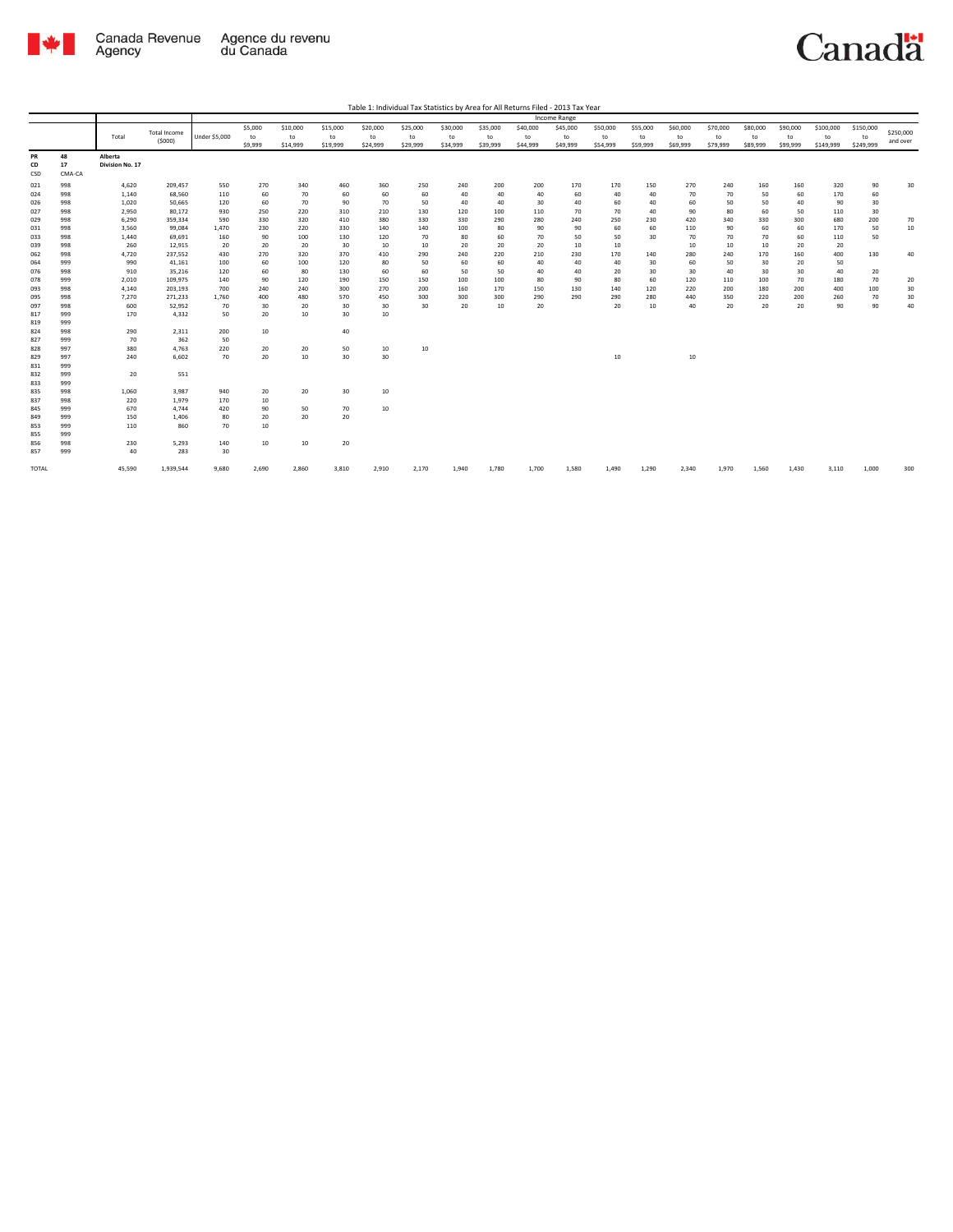

|                  |              |                 |              |                      |         |          |          |          |          |          |          |          | <b>Income Range</b> |          |          |          |          |          |          |           |           |                       |
|------------------|--------------|-----------------|--------------|----------------------|---------|----------|----------|----------|----------|----------|----------|----------|---------------------|----------|----------|----------|----------|----------|----------|-----------|-----------|-----------------------|
|                  |              |                 | Total Income |                      | \$5,000 | \$10,000 | \$15,000 | \$20,000 | \$25,000 | \$30,000 | \$35,000 | \$40,000 | \$45,000            | \$50,000 | \$55,000 | \$60,000 | \$70,000 | \$80,000 | \$90,000 | \$100,000 | \$150,000 |                       |
|                  |              | Total           | (5000)       | <b>Under \$5,000</b> | to      | to       | to       | to       | to       | to       | to       | to       | to                  | to       | to       | to       | to       | to       | to       | to        | to        | \$250,000<br>and over |
|                  |              |                 |              |                      | \$9,999 | \$14,999 | \$19,999 | \$24,999 | \$29,999 | \$34,999 | \$39,999 | \$44,999 | \$49,999            | \$54,999 | \$59,999 | \$69,999 | \$79,999 | \$89,999 | \$99,999 | \$149,999 | \$249,999 |                       |
| PR               | 48           | Alberta         |              |                      |         |          |          |          |          |          |          |          |                     |          |          |          |          |          |          |           |           |                       |
| <b>CD</b><br>CSD | 17<br>CMA-CA | Division No. 17 |              |                      |         |          |          |          |          |          |          |          |                     |          |          |          |          |          |          |           |           |                       |
| 021              | 998          | 4,620           | 209,457      | 550                  | 270     | 340      | 460      | 360      | 250      | 240      | 200      | 200      | 170                 | 170      | 150      | 270      | 240      | 160      | 160      | 320       | 90        | 30                    |
| 024              | 998          | 1,140           | 68,560       | 110                  | 60      | 70       | 60       | 60       | 60       | 40       | 40       | 40       | 60                  | 40       | 40       | 70       | 70       | 50       | 60       | 170       | 60        |                       |
| 026              | 998          | 1,020           | 50,665       | 120                  | 60      | 70       | 90       | 70       | 50       | 40       | 40       | 30       | 40                  | 60       | 40       | 60       | 50       | 50       | 40       | 90        | 30        |                       |
| 027              | 998          | 2,950           | 80,172       | 930                  | 250     | 220      | 310      | 210      | 130      | 120      | 100      | 110      | 70                  | 70       | 40       | 90       | 80       | 60       | 50       | 110       | 30        |                       |
| 029              | 998          | 6,290           | 359,334      | 590                  | 330     | 320      | 410      | 380      | 330      | 330      | 290      | 280      | 240                 | 250      | 230      | 420      | 340      | 330      | 300      | 680       | 200       | 70                    |
| 031              | 998          | 3,560           | 99,084       | 1,470                | 230     | 220      | 330      | 140      | 140      | 100      | 80       | 90       | 90                  | 60       | 60       | 110      | 90       | 60       | 60       | 170       | 50        | 10                    |
| 033              | 998          | 1,440           | 69,691       | 160                  | 90      | 100      | 130      | 120      | 70       | 80       | 60       | 70       | 50                  | 50       | 30       | 70       | 70       | 70       | 60       | 110       | 50        |                       |
| 039              | 998          | 260             | 12,915       | 20                   | 20      | 20       | 30       | 10       | 10       | 20       | 20       | 20       | 10                  | 10       |          | 10       | 10       | 10       | 20       | 20        |           |                       |
| 062              | 998          | 4,720           | 237,552      | 430                  | 270     | 320      | 370      | 410      | 290      | 240      | 220      | 210      | 230                 | 170      | 140      | 280      | 240      | 170      | 160      | 400       | 130       | 40                    |
| 064              | 999          | 990             | 41,161       | 100                  | 60      | 100      | 120      | 80       | 50       | 60       | 60       | 40       | 40                  | 40       | 30       | 60       | 50       | 30       | 20       | 50        |           |                       |
| 076              | 998          | 910             | 35,216       | 120                  | 60      | 80       | 130      | 60       | 60       | 50       | 50       | 40       | 40                  | 20       | 30       | 30       | 40       | 30       | 30       | 40        | 20        |                       |
| 078              | 999          | 2,010           | 109,975      | 140                  | 90      | 120      | 190      | 150      | 150      | 100      | 100      | 80       | 90                  | 80       | 60       | 120      | 110      | 100      | 70       | 180       | 70        | 20                    |
| 093              | 998          | 4,140           | 203,193      | 700                  | 240     | 240      | 300      | 270      | 200      | 160      | 170      | 150      | 130                 | 140      | 120      | 220      | 200      | 180      | 200      | 400       | 100       | 30                    |
| 095              | 998          | 7,270           | 271,233      | 1,760                | 400     | 480      | 570      | 450      | 300      | 300      | 300      | 290      | 290                 | 290      | 280      | 440      | 350      | 220      | 200      | 260       | 70        | 30                    |
| 097              | 998          | 600             | 52,952       | 70                   | 30      | 20       | 30       | 30       | 30       | 20       | 10       | 20       |                     | 20       | 10       | 40       | 20       | 20       | 20       | 90        | 90        | 40                    |
| 817              | 999          | 170             | 4,332        | 50                   | 20      | 10       | 30       | 10       |          |          |          |          |                     |          |          |          |          |          |          |           |           |                       |
| 819              | 999          |                 |              |                      |         |          |          |          |          |          |          |          |                     |          |          |          |          |          |          |           |           |                       |
| 824              | 998          | 290             | 2,311        | 200                  | $10\,$  |          | 40       |          |          |          |          |          |                     |          |          |          |          |          |          |           |           |                       |
| 827              | 999          | 70              | 362          | 50                   |         |          |          |          |          |          |          |          |                     |          |          |          |          |          |          |           |           |                       |
| 828              | 997          | 380             | 4,763        | 220                  | 20      | 20       | 50       | 10       | 10       |          |          |          |                     |          |          |          |          |          |          |           |           |                       |
| 829              | 997          | 240             | 6.602        | 70                   | 20      | 10       | 30       | 30       |          |          |          |          |                     | 10       |          | 10       |          |          |          |           |           |                       |
| 831              | 999          |                 |              |                      |         |          |          |          |          |          |          |          |                     |          |          |          |          |          |          |           |           |                       |
| 832              | 999          | 20              | 551          |                      |         |          |          |          |          |          |          |          |                     |          |          |          |          |          |          |           |           |                       |
| 833              | 999          |                 |              |                      |         |          |          |          |          |          |          |          |                     |          |          |          |          |          |          |           |           |                       |
| 835              | 998          | 1,060           | 3,987        | 940                  | 20      | 20       | 30       | 10       |          |          |          |          |                     |          |          |          |          |          |          |           |           |                       |
| 837              | 998          | 220             | 1,979        | 170                  | 10      |          |          |          |          |          |          |          |                     |          |          |          |          |          |          |           |           |                       |
| 845              | 999          | 670             | 4,744        | 420                  | 90      | 50       | 70       | 10       |          |          |          |          |                     |          |          |          |          |          |          |           |           |                       |
| 849              | 999          | 150             | 1,406        | 80                   | 20      | 20       | 20       |          |          |          |          |          |                     |          |          |          |          |          |          |           |           |                       |
| 853              | 999          | 110             | 860          | 70                   | 10      |          |          |          |          |          |          |          |                     |          |          |          |          |          |          |           |           |                       |
| 855              | 999          |                 |              |                      |         |          |          |          |          |          |          |          |                     |          |          |          |          |          |          |           |           |                       |
| 856              | 998          | 230             | 5,293        | 140                  | 10      | 10       | 20       |          |          |          |          |          |                     |          |          |          |          |          |          |           |           |                       |
| 857              | 999          | 40              | 283          | 30                   |         |          |          |          |          |          |          |          |                     |          |          |          |          |          |          |           |           |                       |
|                  |              |                 |              |                      |         |          |          |          |          |          |          |          |                     |          |          |          |          |          |          |           |           |                       |
| <b>TOTAL</b>     |              | 45.590          | 1,939,544    | 9.680                | 2.690   | 2,860    | 3,810    | 2,910    | 2,170    | 1,940    | 1.780    | 1,700    | 1,580               | 1,490    | 1,290    | 2.340    | 1,970    | 1,560    | 1.430    | 3,110     | 1,000     | 300                   |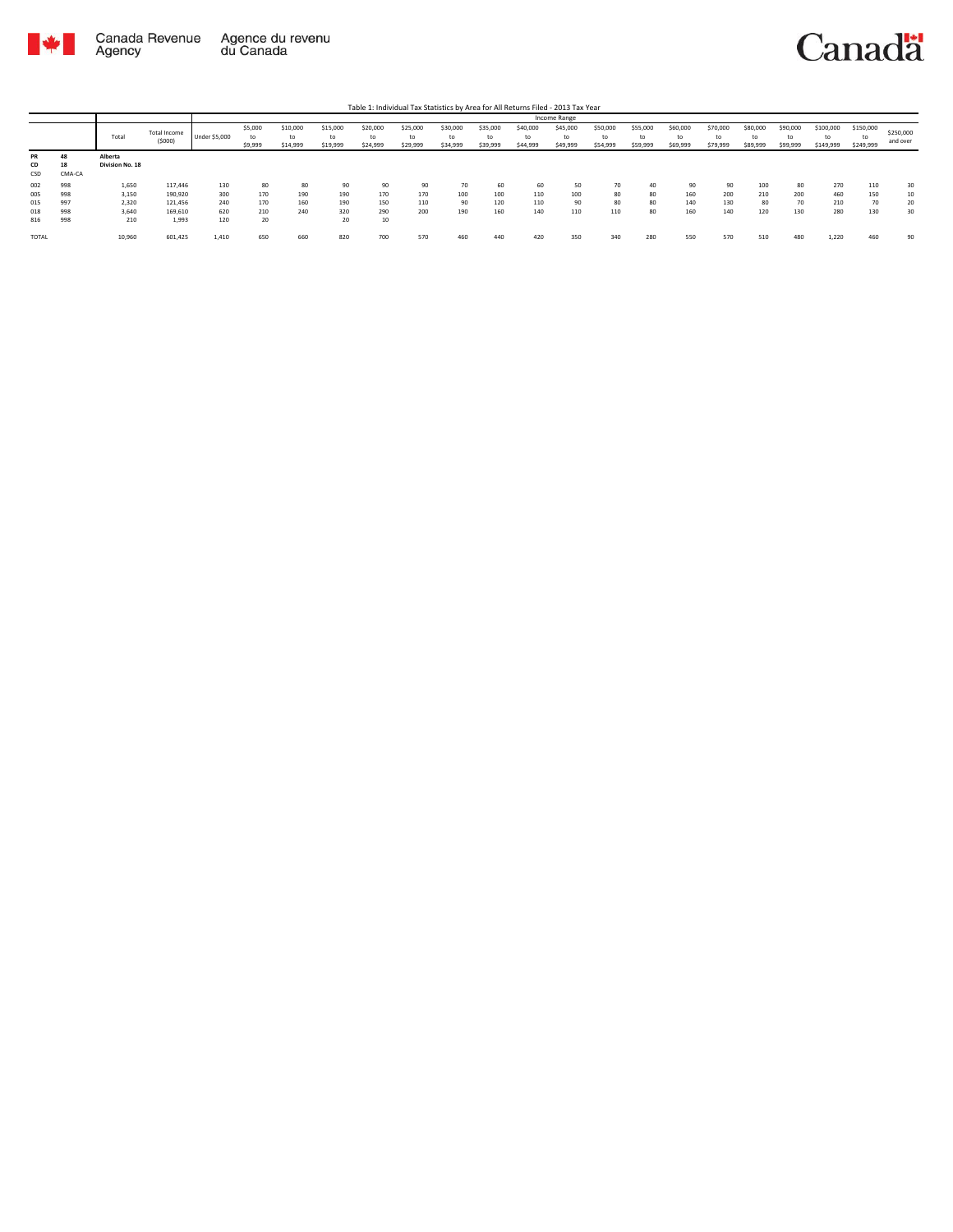

|       |        |                 |              |                      |         |          |          |          |          |          |          |          | <b>Income Range</b> |          |          |          |          |          |          |           |           |           |
|-------|--------|-----------------|--------------|----------------------|---------|----------|----------|----------|----------|----------|----------|----------|---------------------|----------|----------|----------|----------|----------|----------|-----------|-----------|-----------|
|       |        |                 | Total Income |                      | \$5,000 | \$10,000 | \$15,000 | \$20,000 | \$25,000 | \$30,000 | \$35,000 | \$40,000 | \$45,000            | \$50,000 | \$55,000 | \$60,000 | \$70,000 | \$80,000 | \$90,000 | \$100,000 | \$150,000 | \$250,000 |
|       |        | Total           | (5000)       | <b>Under \$5,000</b> | to      | to       | to       | to       | to       | to       | to       | to       | to                  | to       | to       | to       | to       | to       | to       | to        | tc        | and over  |
|       |        |                 |              |                      | \$9,999 | \$14,999 | \$19,999 | \$24,999 | \$29,999 | \$34,999 | \$39,999 | \$44,999 | \$49,999            | \$54,999 | \$59,999 | \$69,999 | \$79,999 | \$89,999 | \$99,999 | \$149,999 | \$249,999 |           |
| PR    |        | Alberta         |              |                      |         |          |          |          |          |          |          |          |                     |          |          |          |          |          |          |           |           |           |
| CD    | 18     | Division No. 18 |              |                      |         |          |          |          |          |          |          |          |                     |          |          |          |          |          |          |           |           |           |
| CSD   | CMA-CA |                 |              |                      |         |          |          |          |          |          |          |          |                     |          |          |          |          |          |          |           |           |           |
| 002   | 998    | 1,650           | 117,446      | 130                  | 80      | 80       | 90       | 90       | 90       | 70       | 60       | 60       | 50                  | 70       | 40       | 90       | 90       | 100      | 80       | 270       | 110       | 30        |
| 005   | 998    | 3,150           | 190,920      | 300                  | 170     | 190      | 190      | 170      | 170      | 100      | 100      | 110      | 100                 | 80       | 80       | 160      | 200      | 210      | 200      | 460       | 150       | 10        |
| 015   | 997    | 2,320           | 121,456      | 240                  | 170     | 160      | 190      | 150      | 110      | 90       | 120      | 110      | 90                  | 80       | 80       | 140      | 130      | 80       | 70       | 210       | 70        | 20        |
| 018   | 998    | 3,640           | 169,610      | 620                  | 210     | 240      | 320      | 290      | 200      | 190      | 160      | 140      | 110                 | 110      | 80       | 160      | 140      | 120      | 130      | 280       | 130       | 30        |
| 816   | 998    | 210             | 1,993        | 120                  | 20      |          | 20       | 10       |          |          |          |          |                     |          |          |          |          |          |          |           |           |           |
| TOTAL |        | 10,960          | 601,425      | 1,410                | 650     | 660      | 820      | 700      | 570      | 460      | 440      | 420      | 350                 | 340      | 280      | 550      | 570      | 510      | 480      | 1,220     | 460       | 90        |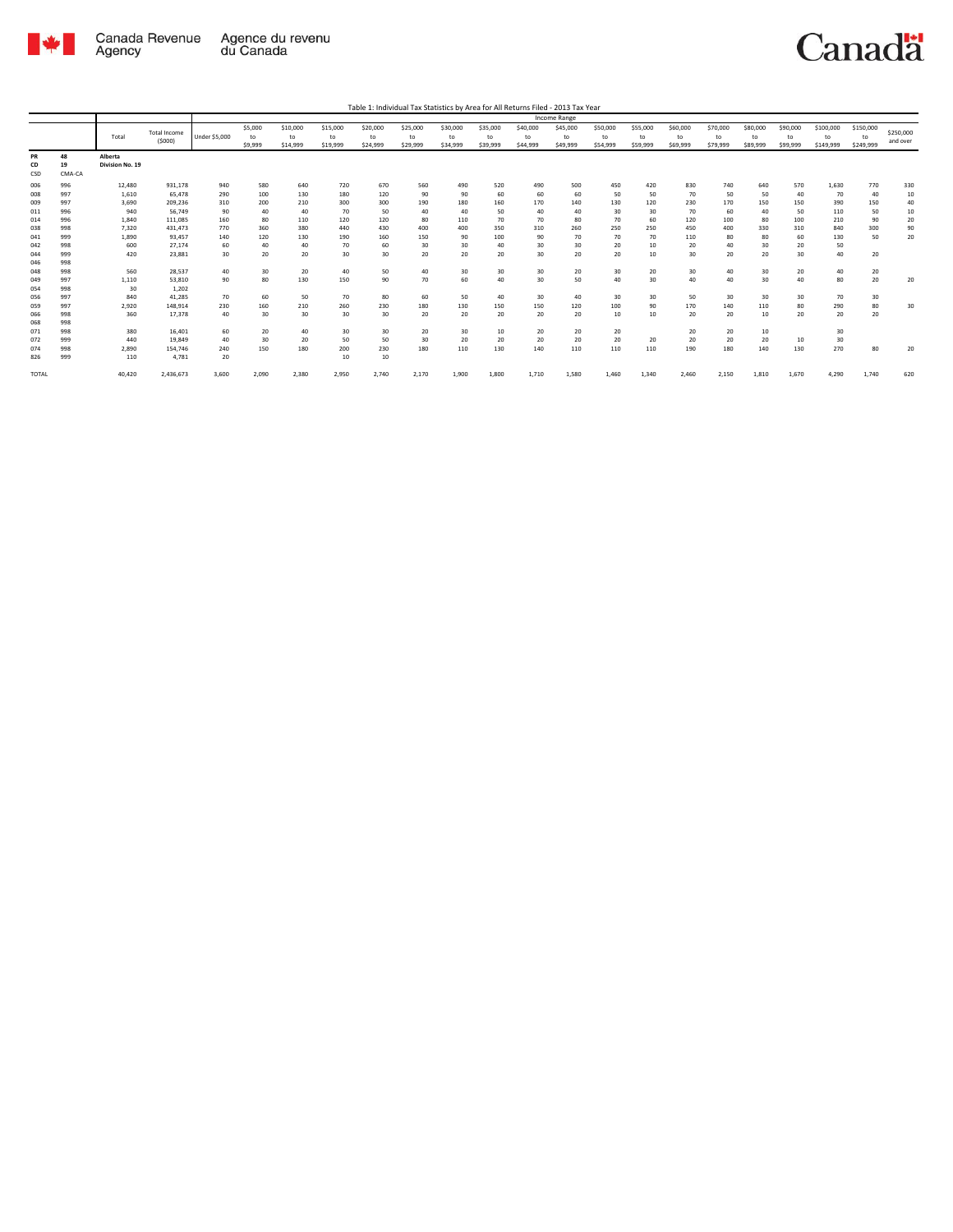

|                   |                    |                            |                               |                      |                          |                            |                            | Table 1: Individual Tax Statistics by Area for All Returns Filed - 2013 Tax Year |                            |                            |                            |                            |                            |                            |                            |                            |                            |                            |                            |                              |                              |                       |
|-------------------|--------------------|----------------------------|-------------------------------|----------------------|--------------------------|----------------------------|----------------------------|----------------------------------------------------------------------------------|----------------------------|----------------------------|----------------------------|----------------------------|----------------------------|----------------------------|----------------------------|----------------------------|----------------------------|----------------------------|----------------------------|------------------------------|------------------------------|-----------------------|
|                   |                    |                            |                               |                      |                          |                            |                            |                                                                                  |                            |                            |                            |                            | Income Range               |                            |                            |                            |                            |                            |                            |                              |                              |                       |
|                   |                    | Total                      | <b>Total Income</b><br>(5000) | <b>Under \$5,000</b> | \$5,000<br>to<br>\$9,999 | \$10,000<br>to<br>\$14,999 | \$15,000<br>to<br>\$19,999 | \$20,000<br>to<br>\$24,999                                                       | \$25,000<br>to<br>\$29,999 | \$30,000<br>to<br>\$34,999 | \$35,000<br>to<br>\$39,999 | \$40,000<br>to<br>\$44,999 | \$45,000<br>to<br>\$49,999 | \$50,000<br>to<br>\$54,999 | \$55,000<br>to<br>\$59,999 | \$60,000<br>to<br>\$69,999 | \$70,000<br>to<br>\$79,999 | \$80,000<br>to<br>\$89,999 | \$90,000<br>to<br>\$99,999 | \$100,000<br>to<br>\$149,999 | \$150,000<br>to<br>\$249,999 | \$250,000<br>and over |
| PR<br>CD<br>CSD   | 48<br>19<br>CMA-CA | Alberta<br>Division No. 19 |                               |                      |                          |                            |                            |                                                                                  |                            |                            |                            |                            |                            |                            |                            |                            |                            |                            |                            |                              |                              |                       |
| 006<br>008        | 996<br>997         | 12,480<br>1.610            | 931,178<br>65,478             | 940<br>290           | 580<br>100               | 640<br>130                 | 720<br>180                 | 670<br>120                                                                       | 560<br>90                  | 490<br>90                  | 520<br>60                  | 490<br>60                  | 500<br>60                  | 450<br>50                  | 420<br>50                  | 830<br>70                  | 740<br>50                  | 640<br>50                  | 570<br>40                  | 1,630<br>70                  | 770<br>40                    | 330<br>10             |
| 009<br>011        | 997<br>996         | 3,690<br>940               | 209,236<br>56,749             | 310<br>90            | 200<br>40                | 210<br>40                  | 300<br>70                  | 300<br>50                                                                        | 190<br>40                  | 180<br>40                  | 160<br>50                  | 170<br>40                  | 140<br>40                  | 130<br>30                  | 120<br>30                  | 230<br>70                  | 170<br>60                  | 150<br>40                  | 150<br>50                  | 390<br>110                   | 150<br>50                    | 40<br>10              |
| 014<br>038        | 996<br>998         | 1.840<br>7.320             | 111.085<br>431.473            | 160<br>770           | 80<br>360                | 110<br>380                 | 120<br>440                 | 120<br>430                                                                       | 80<br>400                  | 110<br>400                 | 70<br>350                  | 70<br>310                  | 80<br>260                  | 70<br>250                  | 60<br>250                  | 120<br>450                 | 100<br>400                 | 80<br>330                  | 100<br>310                 | 210<br>840                   | 90<br>300                    | 20<br>90              |
| 041<br>042        | 999<br>998         | 1,890<br>600               | 93,457<br>27.174              | 140<br>60            | 120<br>40                | 130<br>40                  | 190<br>70                  | 160<br>60                                                                        | 150<br>30                  | 90<br>30                   | 100<br>40                  | 90<br>30                   | 70<br>30                   | 70<br>20                   | 70<br>10                   | 110<br>20                  | 80<br>40                   | 80<br>30                   | 60<br>20                   | 130<br>50                    | 50                           | 20                    |
| 044<br>046        | 999<br>998         | 420                        | 23,881                        | 30                   | 20                       | 20                         | 30                         | 30                                                                               | 20                         | 20                         | 20                         | 30                         | 20                         | 20                         | $10$                       | 30                         | 20                         | 20                         | 30                         | 40                           | 20                           |                       |
| 048<br>049        | 998<br>997         | 560<br>1,110               | 28.537<br>53,810              | 40<br>90             | 30<br>80                 | 20<br>130                  | 40<br>150                  | 50<br>90                                                                         | 40<br>70                   | 30<br>60                   | 30<br>40                   | 30<br>30                   | 20<br>50                   | 30<br>40                   | 20<br>30                   | 30<br>40                   | 40<br>40                   | 30<br>30                   | 20<br>40                   | 40<br>80                     | 20<br>20                     | 20                    |
| 054<br>056        | 998<br>997         | 30<br>840                  | 1.202<br>41,285               | 70                   | 60                       | 50                         | 70                         | 80                                                                               | 60                         | 50                         | 40                         | 30                         | 40                         | 30                         | 30                         | 50                         | 30                         | 30                         | 30                         | 70                           | 30                           |                       |
| 059<br>066<br>068 | 997<br>998<br>998  | 2,920<br>360               | 148,914<br>17,378             | 230<br>40            | 160<br>30                | 210<br>30                  | 260<br>30                  | 230<br>30                                                                        | 180<br>20                  | 130<br>20                  | 150<br>20                  | 150<br>20                  | 120<br>20                  | 100<br>10                  | 90<br>10                   | 170<br>20                  | 140<br>20                  | 110<br>10                  | 80<br>20                   | 290<br>20                    | 80<br>20                     | 30                    |
| 071<br>072        | 998<br>999         | 380<br>440                 | 16,401<br>19,849              | 60<br>40             | 20<br>30                 | 40<br>20                   | 30<br>50                   | 30<br>50                                                                         | 20<br>30                   | 30<br>20                   | 10<br>20                   | 20<br>20                   | 20<br>20                   | 20<br>20                   | 20                         | 20<br>20                   | 20<br>20                   | 10<br>20                   | 10                         | 30<br>30                     |                              |                       |
| 074<br>826        | 998<br>999         | 2,890<br>110               | 154,746<br>4,781              | 240<br>20            | 150                      | 180                        | 200<br>10                  | 230<br>10                                                                        | 180                        | 110                        | 130                        | 140                        | 110                        | 110                        | 110                        | 190                        | 180                        | 140                        | 130                        | 270                          | 80                           | 20                    |
| TOTAL             |                    | 40,420                     | 2,436,673                     | 3,600                | 2,090                    | 2,380                      | 2,950                      | 2,740                                                                            | 2,170                      | 1,900                      | 1,800                      | 1,710                      | 1,580                      | 1,460                      | 1,340                      | 2.460                      | 2,150                      | 1,810                      | 1,670                      | 4,290                        | 1,740                        | 620                   |